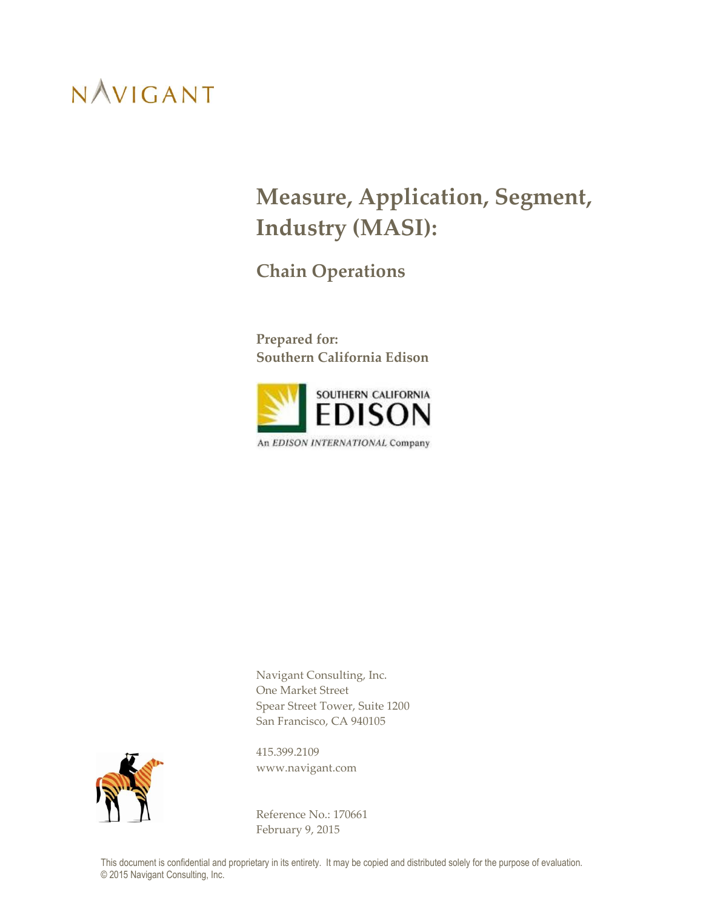## **Measure, Application, Segment, Industry (MASI):**

**Chain Operations**

**Prepared for: Southern California Edison**



Navigant Consulting, Inc. One Market Street Spear Street Tower, Suite 1200 San Francisco, CA 940105



415.399.2109 www.navigant.com

Reference No.: 170661 February 9, 2015

This document is confidential and proprietary in its entirety. It may be copied and distributed solely for the purpose of evaluation. © 2015 Navigant Consulting, Inc.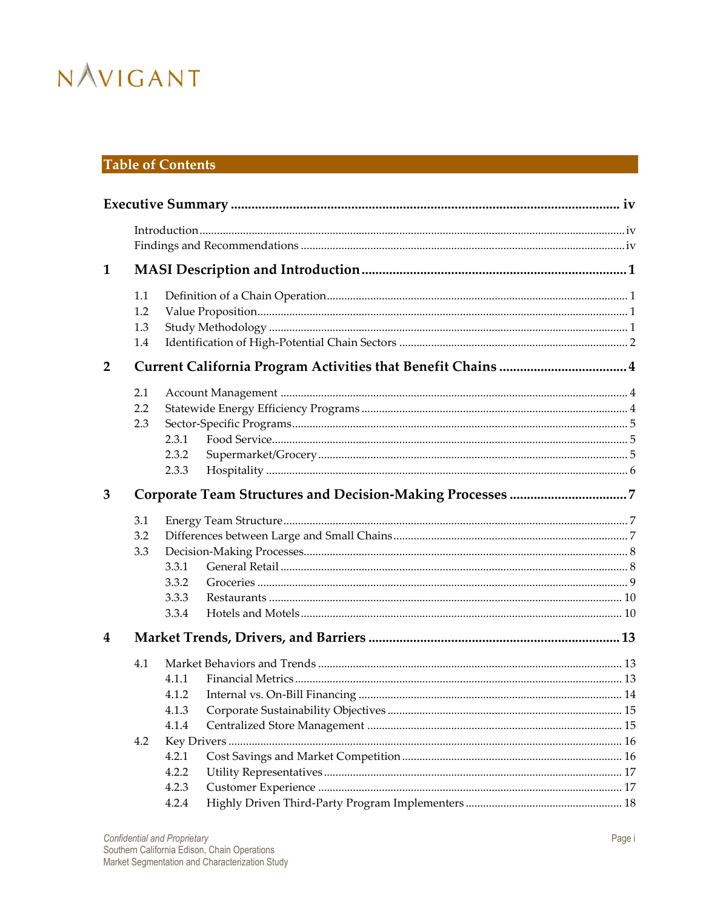## **Table of Contents**

| $\mathbf{1}$   |     |       |  |  |  |  |
|----------------|-----|-------|--|--|--|--|
|                | 1.1 |       |  |  |  |  |
|                | 1.2 |       |  |  |  |  |
|                | 1.3 |       |  |  |  |  |
|                | 1.4 |       |  |  |  |  |
| $\overline{2}$ |     |       |  |  |  |  |
|                | 2.1 |       |  |  |  |  |
|                | 2.2 |       |  |  |  |  |
|                | 2.3 |       |  |  |  |  |
|                |     | 2.3.1 |  |  |  |  |
|                |     | 2.3.2 |  |  |  |  |
|                |     | 2.3.3 |  |  |  |  |
| 3              |     |       |  |  |  |  |
|                | 3.1 |       |  |  |  |  |
|                | 3.2 |       |  |  |  |  |
|                | 3.3 |       |  |  |  |  |
|                |     | 3.3.1 |  |  |  |  |
|                |     | 3.3.2 |  |  |  |  |
|                |     | 3.3.3 |  |  |  |  |
|                |     | 3.3.4 |  |  |  |  |
| 4              |     |       |  |  |  |  |
|                | 4.1 |       |  |  |  |  |
|                |     | 4.1.1 |  |  |  |  |
|                |     | 4.1.2 |  |  |  |  |
|                |     | 4.1.3 |  |  |  |  |
|                |     | 4.1.4 |  |  |  |  |
|                | 4.2 |       |  |  |  |  |
|                |     | 4.2.1 |  |  |  |  |
|                |     | 4.2.2 |  |  |  |  |
|                |     | 4.2.3 |  |  |  |  |
|                |     | 4.2.4 |  |  |  |  |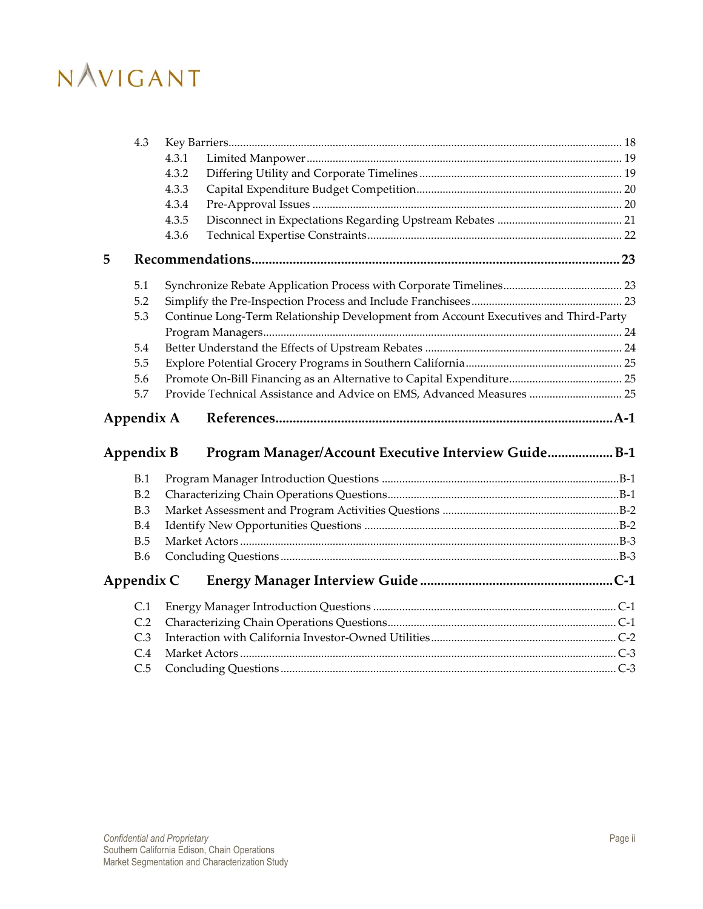|   | 4.3        |       |                                                                                     |  |
|---|------------|-------|-------------------------------------------------------------------------------------|--|
|   |            | 4.3.1 |                                                                                     |  |
|   |            | 4.3.2 |                                                                                     |  |
|   |            | 4.3.3 |                                                                                     |  |
|   |            | 4.3.4 |                                                                                     |  |
|   |            | 4.3.5 |                                                                                     |  |
|   |            | 4.3.6 |                                                                                     |  |
| 5 |            |       |                                                                                     |  |
|   | 5.1        |       |                                                                                     |  |
|   | 5.2        |       |                                                                                     |  |
|   | 5.3        |       | Continue Long-Term Relationship Development from Account Executives and Third-Party |  |
|   |            |       |                                                                                     |  |
|   | 5.4        |       |                                                                                     |  |
|   | 5.5        |       |                                                                                     |  |
|   | 5.6        |       |                                                                                     |  |
|   | 5.7        |       | Provide Technical Assistance and Advice on EMS, Advanced Measures  25               |  |
|   |            |       |                                                                                     |  |
|   | Appendix A |       |                                                                                     |  |
|   | Appendix B |       | Program Manager/Account Executive Interview Guide B-1                               |  |
|   |            |       |                                                                                     |  |
|   | B.1<br>B.2 |       |                                                                                     |  |
|   | B.3        |       |                                                                                     |  |
|   | B.4        |       |                                                                                     |  |
|   | B.5        |       |                                                                                     |  |
|   | <b>B.6</b> |       |                                                                                     |  |
|   | Appendix C |       |                                                                                     |  |
|   | C.1        |       |                                                                                     |  |
|   | C.2        |       |                                                                                     |  |
|   | C.3        |       |                                                                                     |  |
|   | C.4        |       |                                                                                     |  |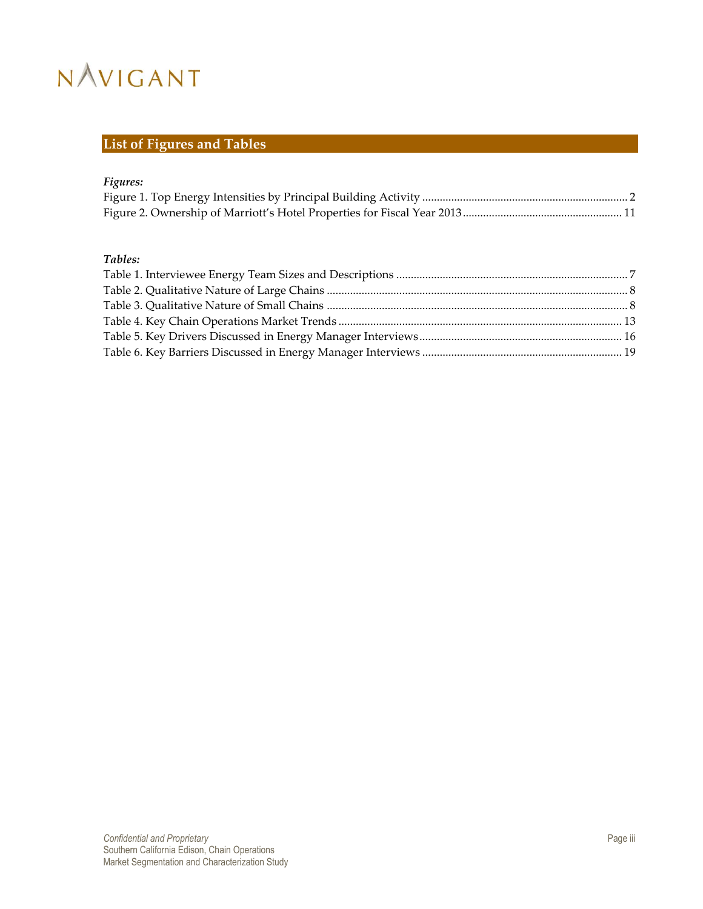## **List of Figures and Tables**

### *Figures:*

### *Tables:*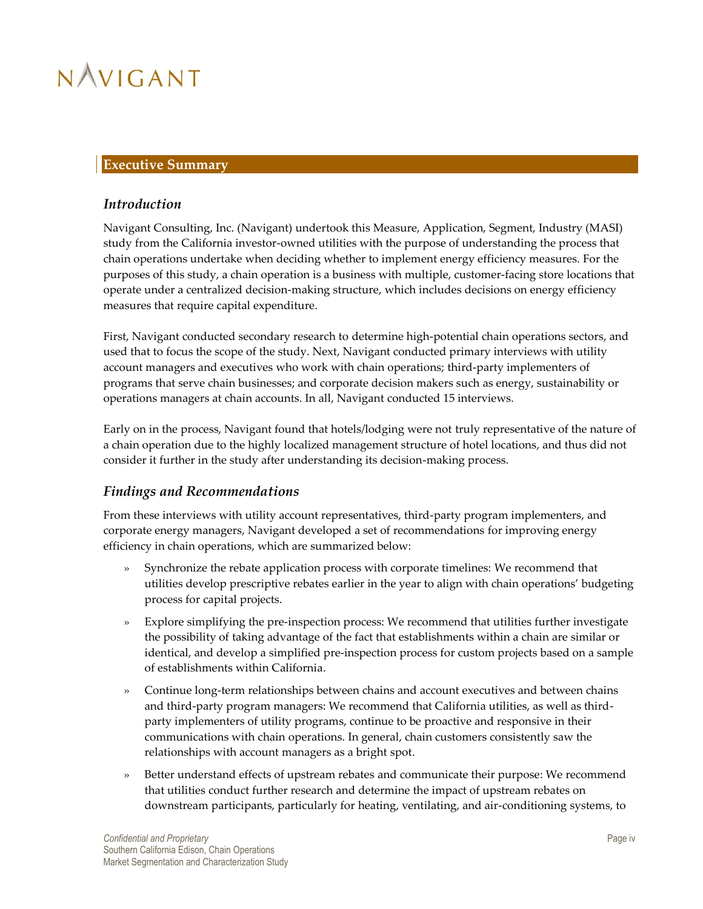### <span id="page-4-0"></span>**Executive Summary**

### <span id="page-4-1"></span>*Introduction*

Navigant Consulting, Inc. (Navigant) undertook this Measure, Application, Segment, Industry (MASI) study from the California investor-owned utilities with the purpose of understanding the process that chain operations undertake when deciding whether to implement energy efficiency measures. For the purposes of this study, a chain operation is a business with multiple, customer-facing store locations that operate under a centralized decision-making structure, which includes decisions on energy efficiency measures that require capital expenditure.

First, Navigant conducted secondary research to determine high-potential chain operations sectors, and used that to focus the scope of the study. Next, Navigant conducted primary interviews with utility account managers and executives who work with chain operations; third-party implementers of programs that serve chain businesses; and corporate decision makers such as energy, sustainability or operations managers at chain accounts. In all, Navigant conducted 15 interviews.

Early on in the process, Navigant found that hotels/lodging were not truly representative of the nature of a chain operation due to the highly localized management structure of hotel locations, and thus did not consider it further in the study after understanding its decision-making process.

## <span id="page-4-2"></span>*Findings and Recommendations*

From these interviews with utility account representatives, third-party program implementers, and corporate energy managers, Navigant developed a set of recommendations for improving energy efficiency in chain operations, which are summarized below:

- » Synchronize the rebate application process with corporate timelines: We recommend that utilities develop prescriptive rebates earlier in the year to align with chain operations' budgeting process for capital projects.
- » Explore simplifying the pre-inspection process: We recommend that utilities further investigate the possibility of taking advantage of the fact that establishments within a chain are similar or identical, and develop a simplified pre-inspection process for custom projects based on a sample of establishments within California.
- » Continue long-term relationships between chains and account executives and between chains and third-party program managers: We recommend that California utilities, as well as thirdparty implementers of utility programs, continue to be proactive and responsive in their communications with chain operations. In general, chain customers consistently saw the relationships with account managers as a bright spot.
- » Better understand effects of upstream rebates and communicate their purpose: We recommend that utilities conduct further research and determine the impact of upstream rebates on downstream participants, particularly for heating, ventilating, and air-conditioning systems, to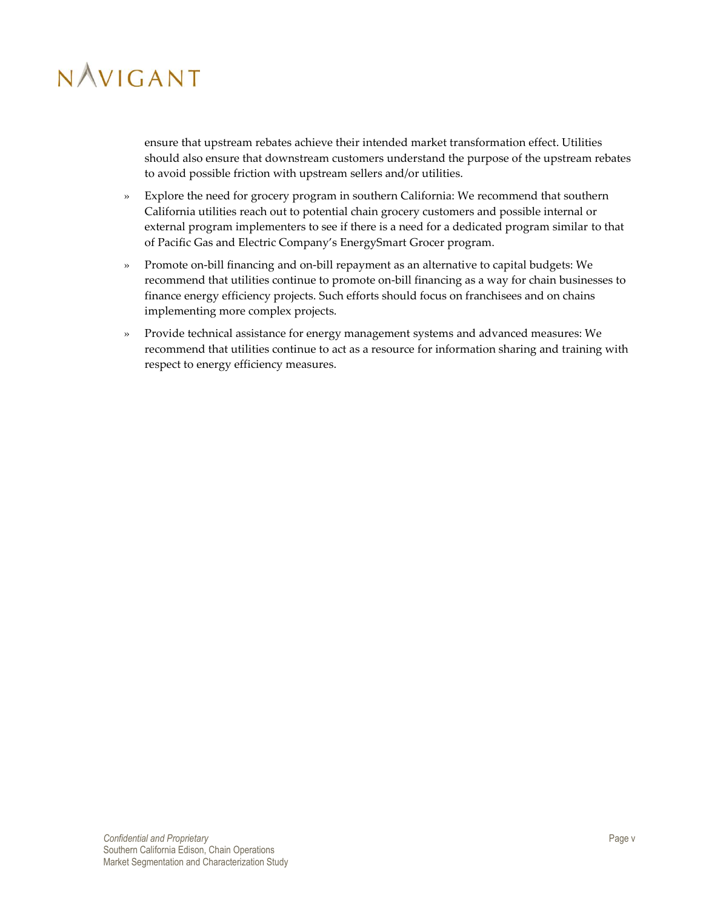ensure that upstream rebates achieve their intended market transformation effect. Utilities should also ensure that downstream customers understand the purpose of the upstream rebates to avoid possible friction with upstream sellers and/or utilities.

- » Explore the need for grocery program in southern California: We recommend that southern California utilities reach out to potential chain grocery customers and possible internal or external program implementers to see if there is a need for a dedicated program similar to that of Pacific Gas and Electric Company's EnergySmart Grocer program.
- » Promote on-bill financing and on-bill repayment as an alternative to capital budgets: We recommend that utilities continue to promote on-bill financing as a way for chain businesses to finance energy efficiency projects. Such efforts should focus on franchisees and on chains implementing more complex projects.
- » Provide technical assistance for energy management systems and advanced measures: We recommend that utilities continue to act as a resource for information sharing and training with respect to energy efficiency measures.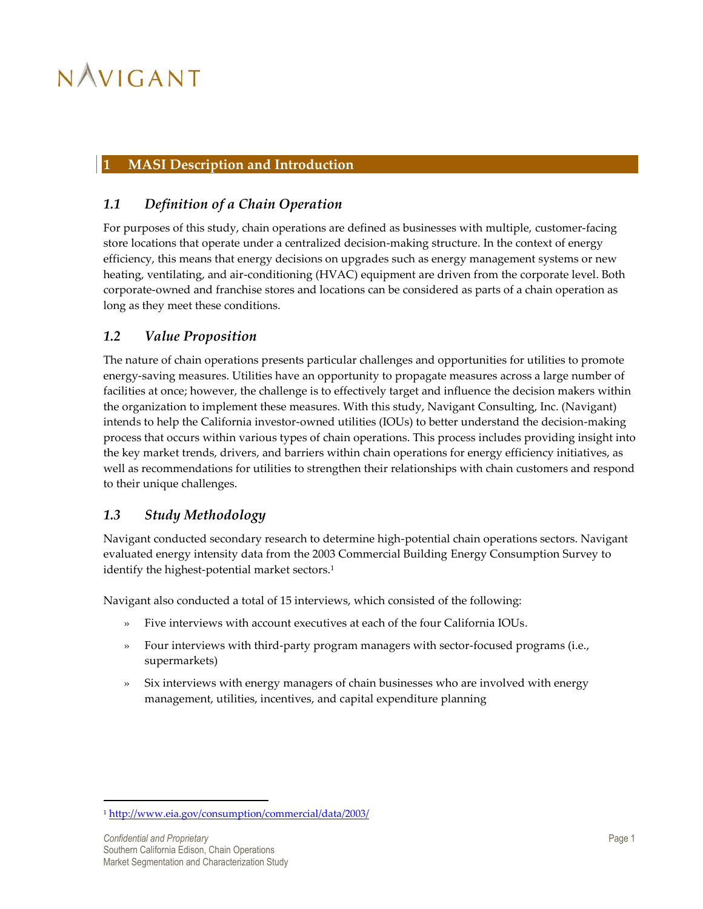### <span id="page-6-0"></span>**1 MASI Description and Introduction**

## <span id="page-6-1"></span>*1.1 Definition of a Chain Operation*

For purposes of this study, chain operations are defined as businesses with multiple, customer-facing store locations that operate under a centralized decision-making structure. In the context of energy efficiency, this means that energy decisions on upgrades such as energy management systems or new heating, ventilating, and air-conditioning (HVAC) equipment are driven from the corporate level. Both corporate-owned and franchise stores and locations can be considered as parts of a chain operation as long as they meet these conditions.

### <span id="page-6-2"></span>*1.2 Value Proposition*

The nature of chain operations presents particular challenges and opportunities for utilities to promote energy-saving measures. Utilities have an opportunity to propagate measures across a large number of facilities at once; however, the challenge is to effectively target and influence the decision makers within the organization to implement these measures. With this study, Navigant Consulting, Inc. (Navigant) intends to help the California investor-owned utilities (IOUs) to better understand the decision-making process that occurs within various types of chain operations. This process includes providing insight into the key market trends, drivers, and barriers within chain operations for energy efficiency initiatives, as well as recommendations for utilities to strengthen their relationships with chain customers and respond to their unique challenges.

## <span id="page-6-3"></span>*1.3 Study Methodology*

Navigant conducted secondary research to determine high-potential chain operations sectors. Navigant evaluated energy intensity data from the 2003 Commercial Building Energy Consumption Survey to identify the highest-potential market sectors.<sup>1</sup>

Navigant also conducted a total of 15 interviews, which consisted of the following:

- » Five interviews with account executives at each of the four California IOUs.
- » Four interviews with third-party program managers with sector-focused programs (i.e., supermarkets)
- » Six interviews with energy managers of chain businesses who are involved with energy management, utilities, incentives, and capital expenditure planning

 $\overline{a}$ 

<sup>1</sup> <http://www.eia.gov/consumption/commercial/data/2003/>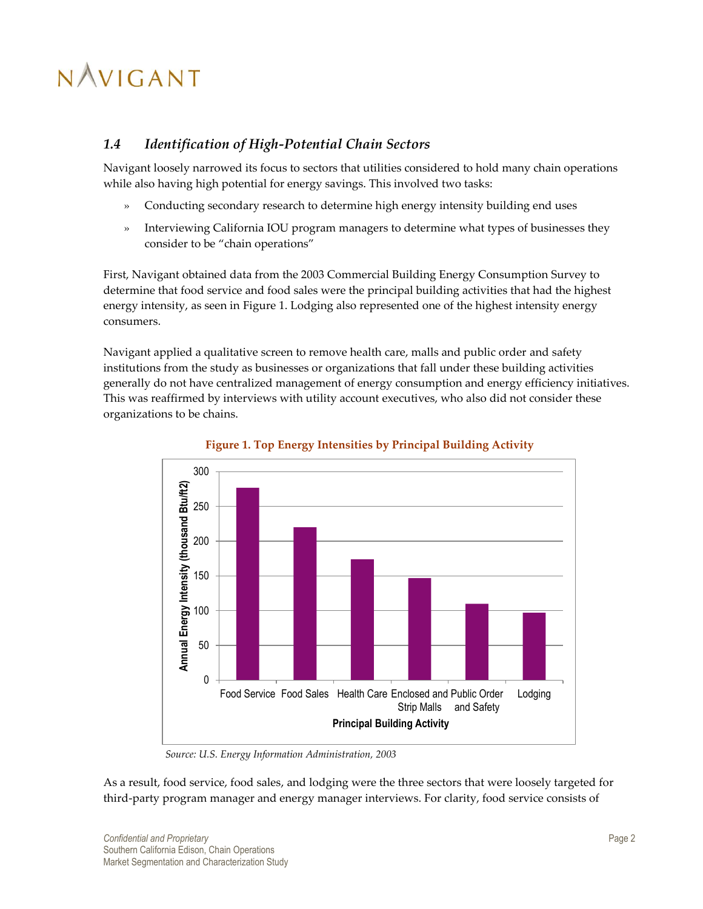## <span id="page-7-0"></span>*1.4 Identification of High-Potential Chain Sectors*

Navigant loosely narrowed its focus to sectors that utilities considered to hold many chain operations while also having high potential for energy savings. This involved two tasks:

- » Conducting secondary research to determine high energy intensity building end uses
- » Interviewing California IOU program managers to determine what types of businesses they consider to be "chain operations"

First, Navigant obtained data from the 2003 Commercial Building Energy Consumption Survey to determine that food service and food sales were the principal building activities that had the highest energy intensity, as seen i[n Figure 1.](#page-7-1) Lodging also represented one of the highest intensity energy consumers.

Navigant applied a qualitative screen to remove health care, malls and public order and safety institutions from the study as businesses or organizations that fall under these building activities generally do not have centralized management of energy consumption and energy efficiency initiatives. This was reaffirmed by interviews with utility account executives, who also did not consider these organizations to be chains.

<span id="page-7-1"></span>



*Source: U.S. Energy Information Administration, 2003*

As a result, food service, food sales, and lodging were the three sectors that were loosely targeted for third-party program manager and energy manager interviews. For clarity, food service consists of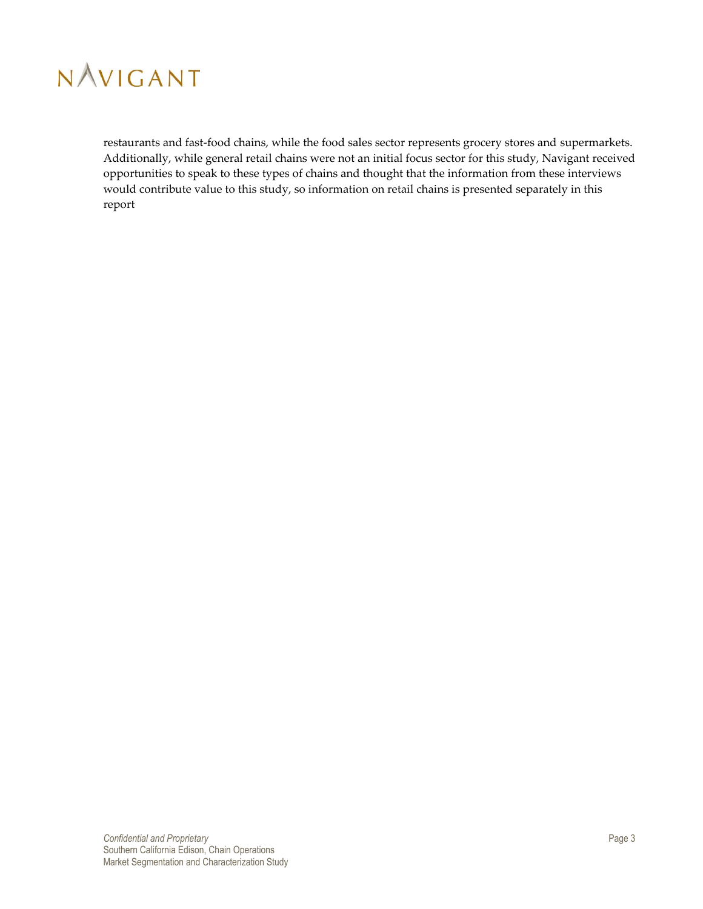

restaurants and fast-food chains, while the food sales sector represents grocery stores and supermarkets. Additionally, while general retail chains were not an initial focus sector for this study, Navigant received opportunities to speak to these types of chains and thought that the information from these interviews would contribute value to this study, so information on retail chains is presented separately in this report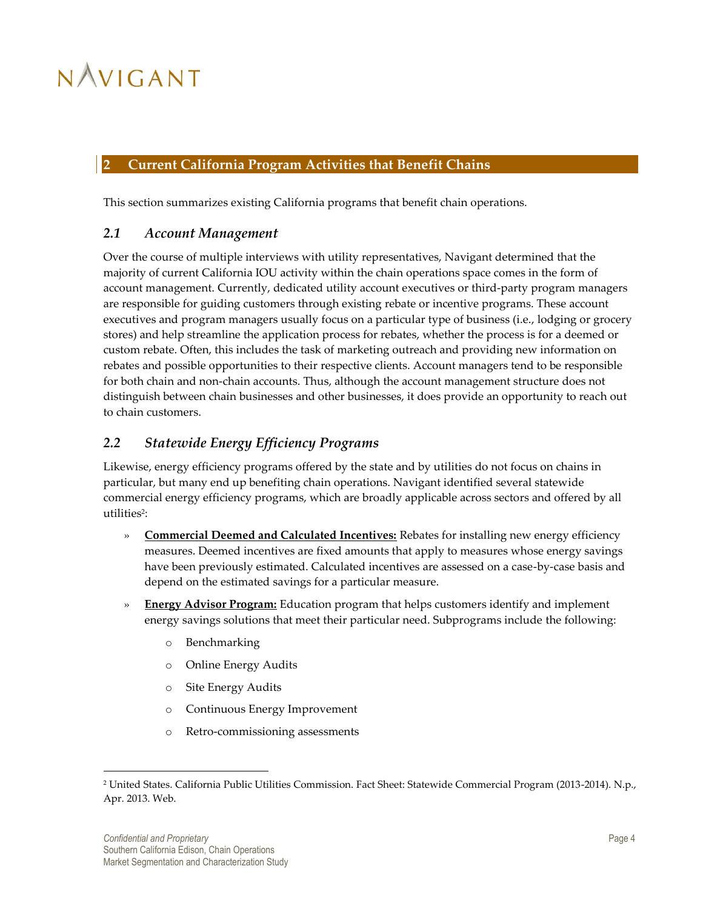### <span id="page-9-0"></span>**2 Current California Program Activities that Benefit Chains**

<span id="page-9-1"></span>This section summarizes existing California programs that benefit chain operations.

### *2.1 Account Management*

Over the course of multiple interviews with utility representatives, Navigant determined that the majority of current California IOU activity within the chain operations space comes in the form of account management. Currently, dedicated utility account executives or third-party program managers are responsible for guiding customers through existing rebate or incentive programs. These account executives and program managers usually focus on a particular type of business (i.e., lodging or grocery stores) and help streamline the application process for rebates, whether the process is for a deemed or custom rebate. Often, this includes the task of marketing outreach and providing new information on rebates and possible opportunities to their respective clients. Account managers tend to be responsible for both chain and non-chain accounts. Thus, although the account management structure does not distinguish between chain businesses and other businesses, it does provide an opportunity to reach out to chain customers.

## <span id="page-9-2"></span>*2.2 Statewide Energy Efficiency Programs*

Likewise, energy efficiency programs offered by the state and by utilities do not focus on chains in particular, but many end up benefiting chain operations. Navigant identified several statewide commercial energy efficiency programs, which are broadly applicable across sectors and offered by all utilities<sup>2</sup>:

- » **Commercial Deemed and Calculated Incentives:** Rebates for installing new energy efficiency measures. Deemed incentives are fixed amounts that apply to measures whose energy savings have been previously estimated. Calculated incentives are assessed on a case-by-case basis and depend on the estimated savings for a particular measure.
- » **Energy Advisor Program:** Education program that helps customers identify and implement energy savings solutions that meet their particular need. Subprograms include the following:
	- o Benchmarking
	- o Online Energy Audits
	- o Site Energy Audits
	- o Continuous Energy Improvement
	- o Retro-commissioning assessments

 $\overline{a}$ 

<sup>2</sup> United States. California Public Utilities Commission. Fact Sheet: Statewide Commercial Program (2013-2014). N.p., Apr. 2013. Web.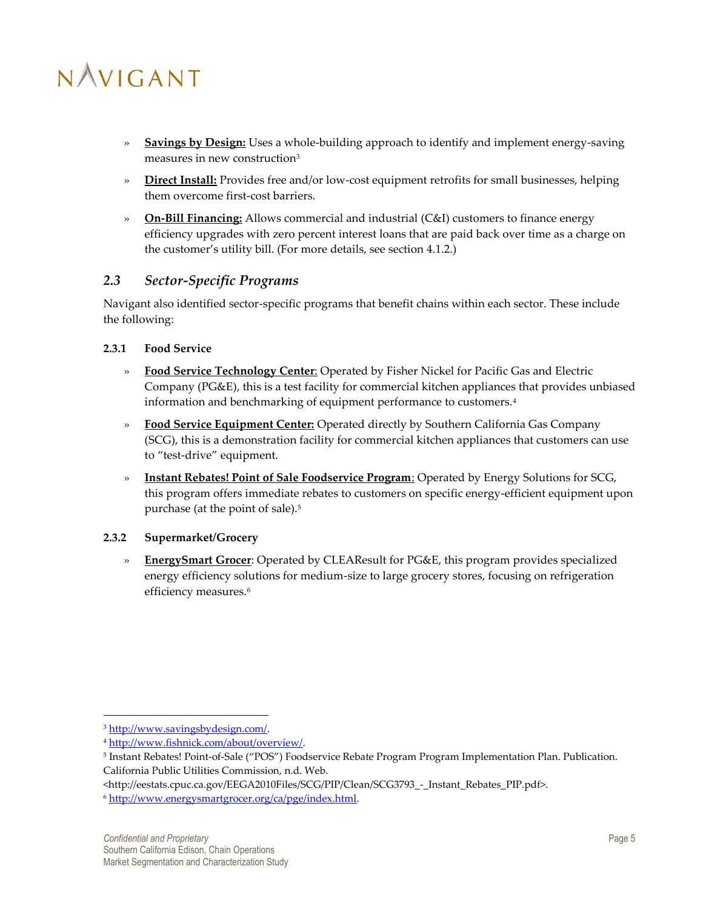- » **Savings by Design:** Uses a whole-building approach to identify and implement energy-saving measures in new construction<sup>3</sup>
- » **Direct Install:** Provides free and/or low-cost equipment retrofits for small businesses, helping them overcome first-cost barriers.
- » **On-Bill Financing:** Allows commercial and industrial (C&I) customers to finance energy efficiency upgrades with zero percent interest loans that are paid back over time as a charge on the customer's utility bill. (For more details, see section [4.1.2.](#page-19-0))

## <span id="page-10-0"></span>*2.3 Sector-Specific Programs*

Navigant also identified sector-specific programs that benefit chains within each sector. These include the following:

#### <span id="page-10-1"></span>**2.3.1 Food Service**

- » **Food Service Technology Center**: Operated by Fisher Nickel for Pacific Gas and Electric Company (PG&E), this is a test facility for commercial kitchen appliances that provides unbiased information and benchmarking of equipment performance to customers.<sup>4</sup>
- » **Food Service Equipment Center:** Operated directly by Southern California Gas Company (SCG), this is a demonstration facility for commercial kitchen appliances that customers can use to "test-drive" equipment.
- » **Instant Rebates! Point of Sale Foodservice Program**: Operated by Energy Solutions for SCG, this program offers immediate rebates to customers on specific energy-efficient equipment upon purchase (at the point of sale).<sup>5</sup>

#### <span id="page-10-2"></span>**2.3.2 Supermarket/Grocery**

» **EnergySmart Grocer**: Operated by CLEAResult for PG&E, this program provides specialized energy efficiency solutions for medium-size to large grocery stores, focusing on refrigeration efficiency measures.<sup>6</sup>

 $\overline{a}$ 

<http://eestats.cpuc.ca.gov/EEGA2010Files/SCG/PIP/Clean/SCG3793 - Instant\_Rebates\_PIP.pdf>.

<sup>&</sup>lt;sup>3</sup> [http://www.savingsbydesign.com/.](http://www.savingsbydesign.com/)

<sup>4</sup> [http://www.fishnick.com/about/overview/.](http://www.fishnick.com/about/overview/)

<sup>5</sup> Instant Rebates! Point-of-Sale ("POS") Foodservice Rebate Program Program Implementation Plan. Publication. California Public Utilities Commission, n.d. Web.

<sup>6</sup> [http://www.energysmartgrocer.org/ca/pge/index.html.](http://www.energysmartgrocer.org/ca/pge/index.html)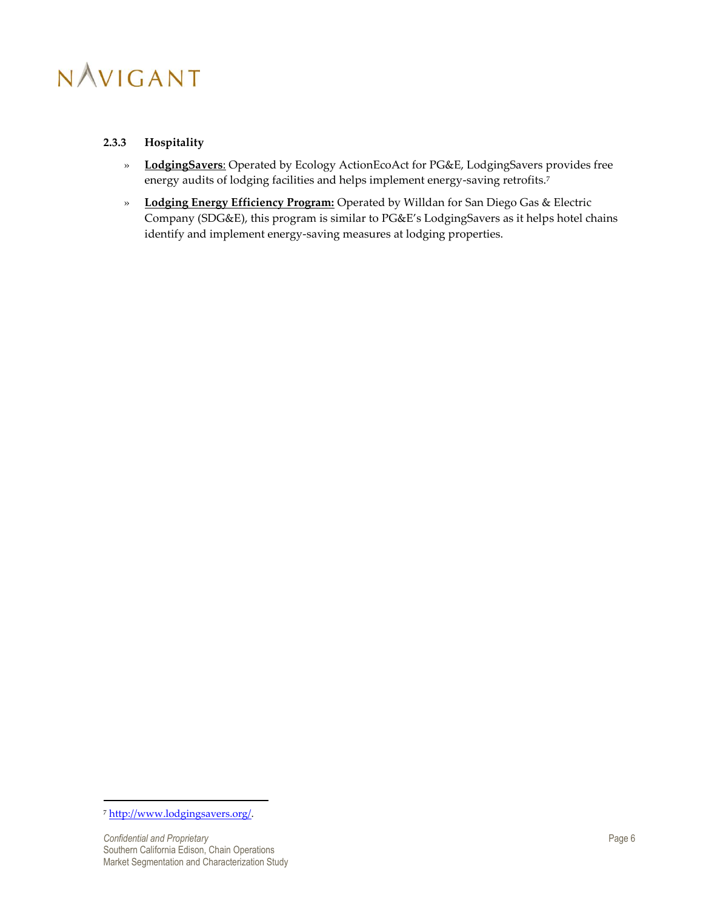#### <span id="page-11-0"></span>**2.3.3 Hospitality**

- » **LodgingSavers**: Operated by Ecology ActionEcoAct for PG&E, LodgingSavers provides free energy audits of lodging facilities and helps implement energy-saving retrofits.<sup>7</sup>
- » **Lodging Energy Efficiency Program:** Operated by Willdan for San Diego Gas & Electric Company (SDG&E), this program is similar to PG&E's LodgingSavers as it helps hotel chains identify and implement energy-saving measures at lodging properties.

 $\overline{a}$ 

<sup>7</sup> [http://www.lodgingsavers.org/.](http://www.lodgingsavers.org/)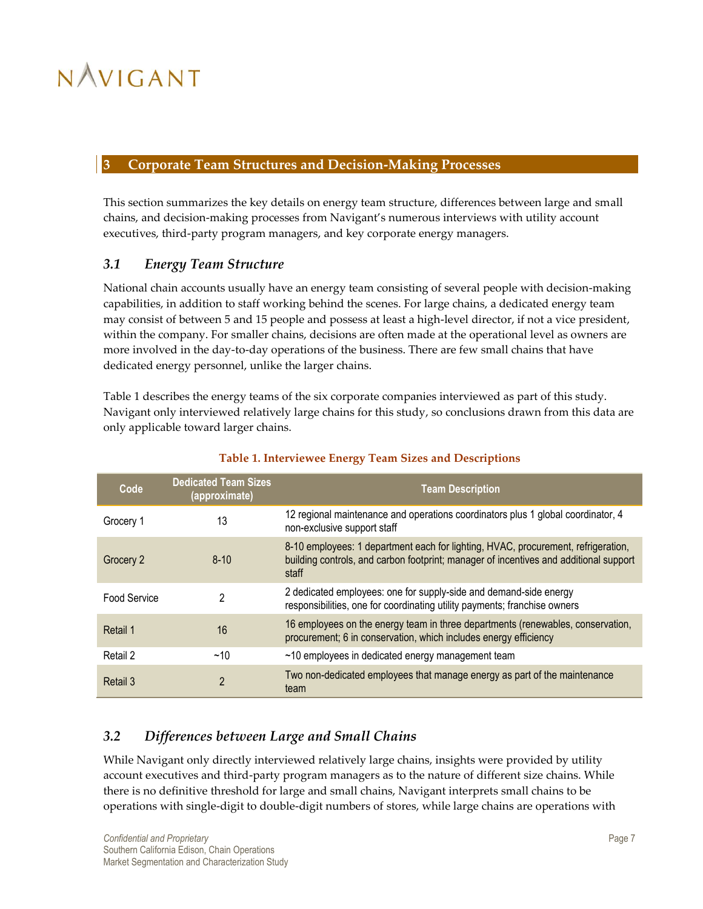### <span id="page-12-0"></span>**3 Corporate Team Structures and Decision-Making Processes**

This section summarizes the key details on energy team structure, differences between large and small chains, and decision-making processes from Navigant's numerous interviews with utility account executives, third-party program managers, and key corporate energy managers.

## <span id="page-12-1"></span>*3.1 Energy Team Structure*

National chain accounts usually have an energy team consisting of several people with decision-making capabilities, in addition to staff working behind the scenes. For large chains, a dedicated energy team may consist of between 5 and 15 people and possess at least a high-level director, if not a vice president, within the company. For smaller chains, decisions are often made at the operational level as owners are more involved in the day-to-day operations of the business. There are few small chains that have dedicated energy personnel, unlike the larger chains.

[Table 1](#page-12-3) describes the energy teams of the six corporate companies interviewed as part of this study. Navigant only interviewed relatively large chains for this study, so conclusions drawn from this data are only applicable toward larger chains.

<span id="page-12-3"></span>

| Code                | <b>Dedicated Team Sizes</b><br>(approximate) | <b>Team Description</b>                                                                                                                                                             |
|---------------------|----------------------------------------------|-------------------------------------------------------------------------------------------------------------------------------------------------------------------------------------|
| 13<br>Grocery 1     |                                              | 12 regional maintenance and operations coordinators plus 1 global coordinator, 4<br>non-exclusive support staff                                                                     |
| Grocery 2           | $8 - 10$                                     | 8-10 employees: 1 department each for lighting, HVAC, procurement, refrigeration,<br>building controls, and carbon footprint; manager of incentives and additional support<br>staff |
| <b>Food Service</b> | 2                                            | 2 dedicated employees: one for supply-side and demand-side energy<br>responsibilities, one for coordinating utility payments; franchise owners                                      |
| Retail 1            | 16                                           | 16 employees on the energy team in three departments (renewables, conservation,<br>procurement; 6 in conservation, which includes energy efficiency                                 |
| Retail 2            | ~10                                          | $\sim$ 10 employees in dedicated energy management team                                                                                                                             |
| Retail 3            | $\mathfrak{p}$                               | Two non-dedicated employees that manage energy as part of the maintenance<br>team                                                                                                   |

### **Table 1. Interviewee Energy Team Sizes and Descriptions**

## <span id="page-12-2"></span>*3.2 Differences between Large and Small Chains*

While Navigant only directly interviewed relatively large chains, insights were provided by utility account executives and third-party program managers as to the nature of different size chains. While there is no definitive threshold for large and small chains, Navigant interprets small chains to be operations with single-digit to double-digit numbers of stores, while large chains are operations with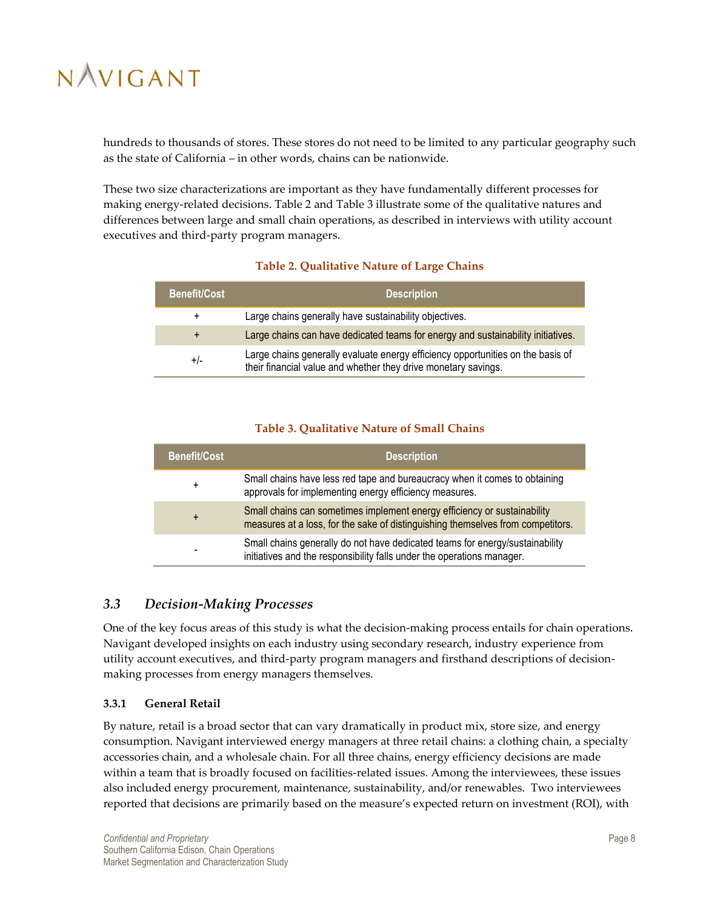hundreds to thousands of stores. These stores do not need to be limited to any particular geography such as the state of California – in other words, chains can be nationwide.

These two size characterizations are important as they have fundamentally different processes for making energy-related decisions. [Table 2](#page-13-2) and [Table 3](#page-13-3) illustrate some of the qualitative natures and differences between large and small chain operations, as described in interviews with utility account executives and third-party program managers.

#### **Table 2. Qualitative Nature of Large Chains**

<span id="page-13-2"></span>

| <b>Benefit/Cost</b> | <b>Description</b>                                                                                                                                |
|---------------------|---------------------------------------------------------------------------------------------------------------------------------------------------|
| $\ddot{}$           | Large chains generally have sustainability objectives.                                                                                            |
| $+$                 | Large chains can have dedicated teams for energy and sustainability initiatives.                                                                  |
| $+/-$               | Large chains generally evaluate energy efficiency opportunities on the basis of<br>their financial value and whether they drive monetary savings. |

#### **Table 3. Qualitative Nature of Small Chains**

<span id="page-13-3"></span>

| <b>Benefit/Cost</b> | <b>Description</b>                                                                                                                                          |
|---------------------|-------------------------------------------------------------------------------------------------------------------------------------------------------------|
| $\ddot{}$           | Small chains have less red tape and bureaucracy when it comes to obtaining<br>approvals for implementing energy efficiency measures.                        |
| $+$                 | Small chains can sometimes implement energy efficiency or sustainability<br>measures at a loss, for the sake of distinguishing themselves from competitors. |
| -                   | Small chains generally do not have dedicated teams for energy/sustainability<br>initiatives and the responsibility falls under the operations manager.      |

### <span id="page-13-0"></span>*3.3 Decision-Making Processes*

One of the key focus areas of this study is what the decision-making process entails for chain operations. Navigant developed insights on each industry using secondary research, industry experience from utility account executives, and third-party program managers and firsthand descriptions of decisionmaking processes from energy managers themselves.

#### <span id="page-13-1"></span>**3.3.1 General Retail**

By nature, retail is a broad sector that can vary dramatically in product mix, store size, and energy consumption. Navigant interviewed energy managers at three retail chains: a clothing chain, a specialty accessories chain, and a wholesale chain. For all three chains, energy efficiency decisions are made within a team that is broadly focused on facilities-related issues. Among the interviewees, these issues also included energy procurement, maintenance, sustainability, and/or renewables. Two interviewees reported that decisions are primarily based on the measure's expected return on investment (ROI), with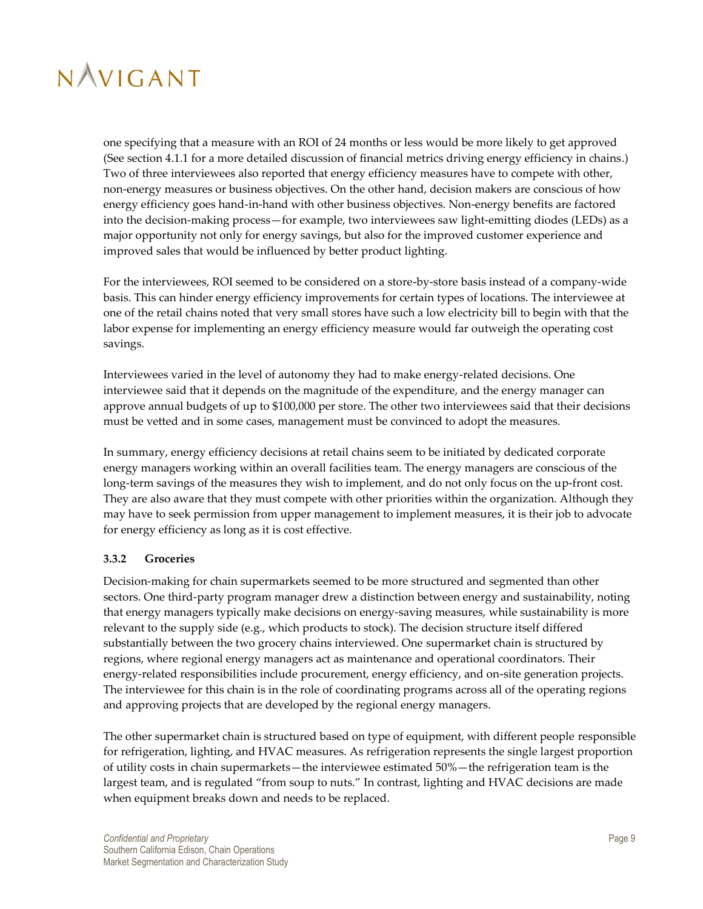

one specifying that a measure with an ROI of 24 months or less would be more likely to get approved (See section [4.1.1](#page-18-2) for a more detailed discussion of financial metrics driving energy efficiency in chains.) Two of three interviewees also reported that energy efficiency measures have to compete with other, non-energy measures or business objectives. On the other hand, decision makers are conscious of how energy efficiency goes hand-in-hand with other business objectives. Non-energy benefits are factored into the decision-making process—for example, two interviewees saw light-emitting diodes (LEDs) as a major opportunity not only for energy savings, but also for the improved customer experience and improved sales that would be influenced by better product lighting.

For the interviewees, ROI seemed to be considered on a store-by-store basis instead of a company-wide basis. This can hinder energy efficiency improvements for certain types of locations. The interviewee at one of the retail chains noted that very small stores have such a low electricity bill to begin with that the labor expense for implementing an energy efficiency measure would far outweigh the operating cost savings.

Interviewees varied in the level of autonomy they had to make energy-related decisions. One interviewee said that it depends on the magnitude of the expenditure, and the energy manager can approve annual budgets of up to \$100,000 per store. The other two interviewees said that their decisions must be vetted and in some cases, management must be convinced to adopt the measures.

In summary, energy efficiency decisions at retail chains seem to be initiated by dedicated corporate energy managers working within an overall facilities team. The energy managers are conscious of the long-term savings of the measures they wish to implement, and do not only focus on the up-front cost. They are also aware that they must compete with other priorities within the organization. Although they may have to seek permission from upper management to implement measures, it is their job to advocate for energy efficiency as long as it is cost effective.

#### <span id="page-14-0"></span>**3.3.2 Groceries**

Decision-making for chain supermarkets seemed to be more structured and segmented than other sectors. One third-party program manager drew a distinction between energy and sustainability, noting that energy managers typically make decisions on energy-saving measures, while sustainability is more relevant to the supply side (e.g., which products to stock). The decision structure itself differed substantially between the two grocery chains interviewed. One supermarket chain is structured by regions, where regional energy managers act as maintenance and operational coordinators. Their energy-related responsibilities include procurement, energy efficiency, and on-site generation projects. The interviewee for this chain is in the role of coordinating programs across all of the operating regions and approving projects that are developed by the regional energy managers.

The other supermarket chain is structured based on type of equipment, with different people responsible for refrigeration, lighting, and HVAC measures. As refrigeration represents the single largest proportion of utility costs in chain supermarkets—the interviewee estimated 50%—the refrigeration team is the largest team, and is regulated "from soup to nuts." In contrast, lighting and HVAC decisions are made when equipment breaks down and needs to be replaced.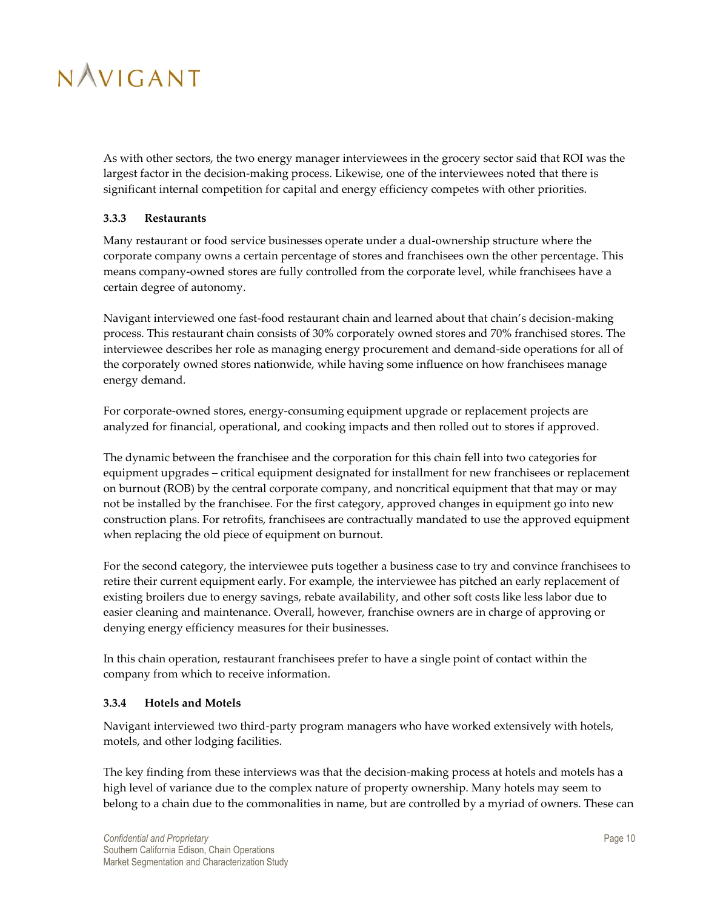

As with other sectors, the two energy manager interviewees in the grocery sector said that ROI was the largest factor in the decision-making process. Likewise, one of the interviewees noted that there is significant internal competition for capital and energy efficiency competes with other priorities.

#### <span id="page-15-0"></span>**3.3.3 Restaurants**

Many restaurant or food service businesses operate under a dual-ownership structure where the corporate company owns a certain percentage of stores and franchisees own the other percentage. This means company-owned stores are fully controlled from the corporate level, while franchisees have a certain degree of autonomy.

Navigant interviewed one fast-food restaurant chain and learned about that chain's decision-making process. This restaurant chain consists of 30% corporately owned stores and 70% franchised stores. The interviewee describes her role as managing energy procurement and demand-side operations for all of the corporately owned stores nationwide, while having some influence on how franchisees manage energy demand.

For corporate-owned stores, energy-consuming equipment upgrade or replacement projects are analyzed for financial, operational, and cooking impacts and then rolled out to stores if approved.

The dynamic between the franchisee and the corporation for this chain fell into two categories for equipment upgrades – critical equipment designated for installment for new franchisees or replacement on burnout (ROB) by the central corporate company, and noncritical equipment that that may or may not be installed by the franchisee. For the first category, approved changes in equipment go into new construction plans. For retrofits, franchisees are contractually mandated to use the approved equipment when replacing the old piece of equipment on burnout.

For the second category, the interviewee puts together a business case to try and convince franchisees to retire their current equipment early. For example, the interviewee has pitched an early replacement of existing broilers due to energy savings, rebate availability, and other soft costs like less labor due to easier cleaning and maintenance. Overall, however, franchise owners are in charge of approving or denying energy efficiency measures for their businesses.

In this chain operation, restaurant franchisees prefer to have a single point of contact within the company from which to receive information.

#### <span id="page-15-1"></span>**3.3.4 Hotels and Motels**

Navigant interviewed two third-party program managers who have worked extensively with hotels, motels, and other lodging facilities.

The key finding from these interviews was that the decision-making process at hotels and motels has a high level of variance due to the complex nature of property ownership. Many hotels may seem to belong to a chain due to the commonalities in name, but are controlled by a myriad of owners. These can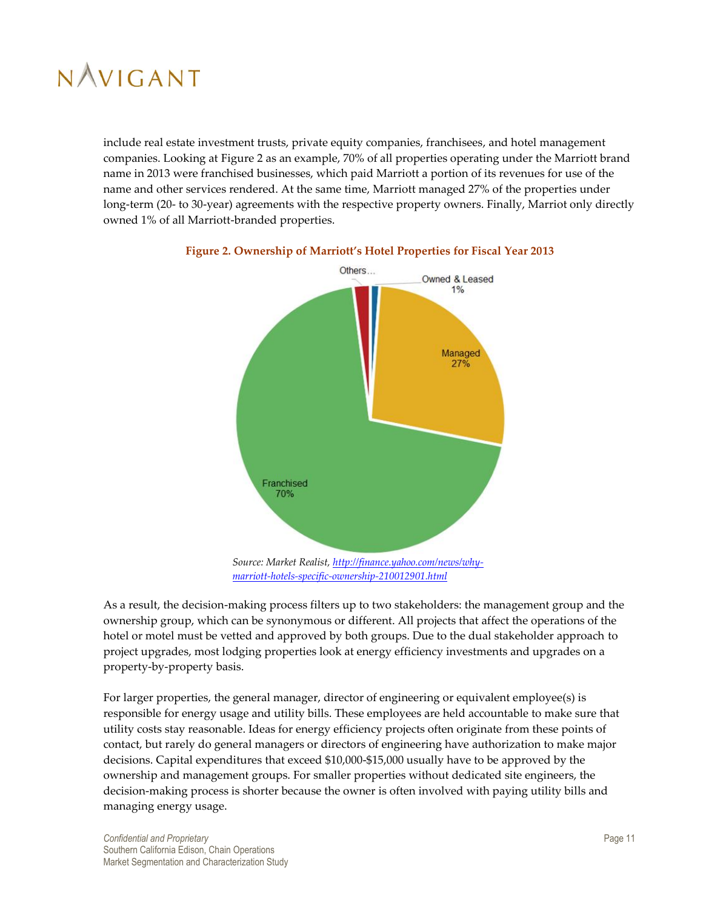include real estate investment trusts, private equity companies, franchisees, and hotel management companies. Looking a[t Figure 2](#page-16-0) as an example, 70% of all properties operating under the Marriott brand name in 2013 were franchised businesses, which paid Marriott a portion of its revenues for use of the name and other services rendered. At the same time, Marriott managed 27% of the properties under long-term (20- to 30-year) agreements with the respective property owners. Finally, Marriot only directly owned 1% of all Marriott-branded properties.



### <span id="page-16-0"></span>**Figure 2. Ownership of Marriott's Hotel Properties for Fiscal Year 2013**

*Source: Market Realist, [http://finance.yahoo.com/news/why](http://finance.yahoo.com/news/why-marriott-hotels-specific-ownership-210012901.html)[marriott-hotels-specific-ownership-210012901.html](http://finance.yahoo.com/news/why-marriott-hotels-specific-ownership-210012901.html)*

As a result, the decision-making process filters up to two stakeholders: the management group and the ownership group, which can be synonymous or different. All projects that affect the operations of the hotel or motel must be vetted and approved by both groups. Due to the dual stakeholder approach to project upgrades, most lodging properties look at energy efficiency investments and upgrades on a property-by-property basis.

For larger properties, the general manager, director of engineering or equivalent employee(s) is responsible for energy usage and utility bills. These employees are held accountable to make sure that utility costs stay reasonable. Ideas for energy efficiency projects often originate from these points of contact, but rarely do general managers or directors of engineering have authorization to make major decisions. Capital expenditures that exceed \$10,000-\$15,000 usually have to be approved by the ownership and management groups. For smaller properties without dedicated site engineers, the decision-making process is shorter because the owner is often involved with paying utility bills and managing energy usage.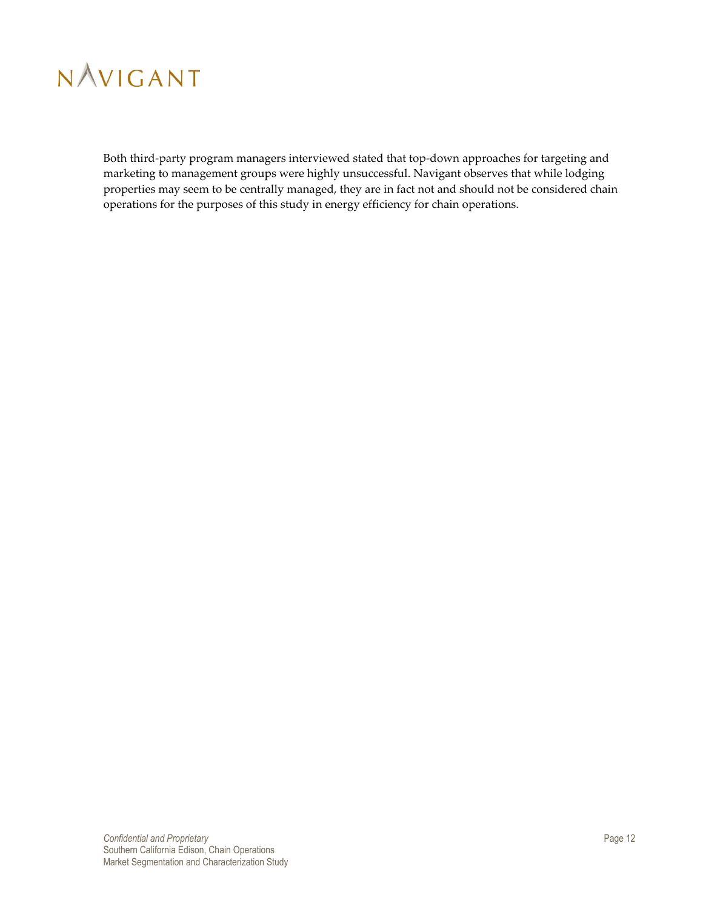

Both third-party program managers interviewed stated that top-down approaches for targeting and marketing to management groups were highly unsuccessful. Navigant observes that while lodging properties may seem to be centrally managed, they are in fact not and should not be considered chain operations for the purposes of this study in energy efficiency for chain operations.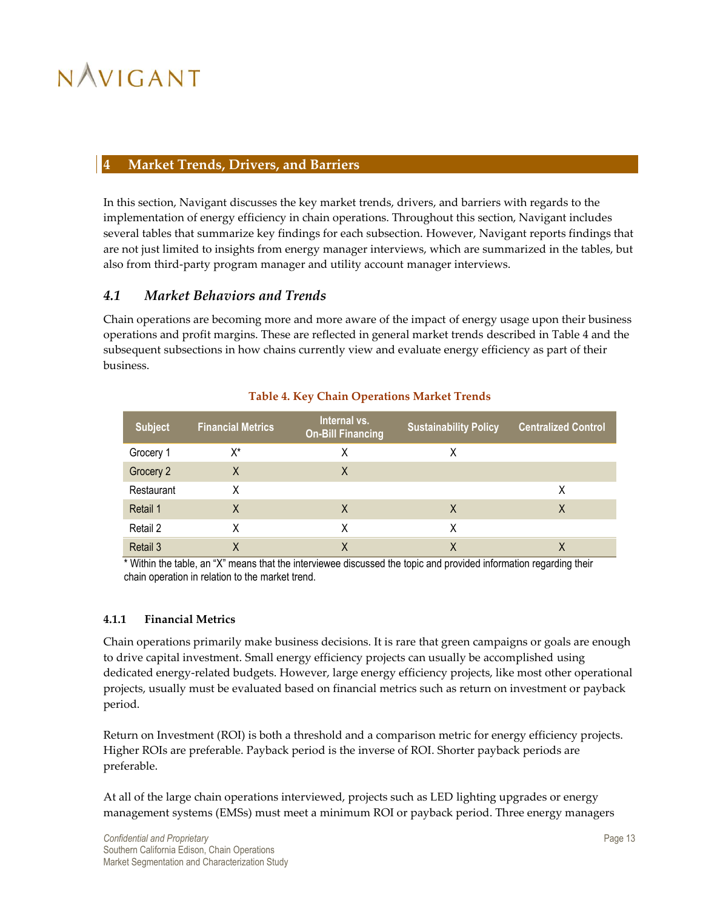### <span id="page-18-0"></span>**4 Market Trends, Drivers, and Barriers**

In this section, Navigant discusses the key market trends, drivers, and barriers with regards to the implementation of energy efficiency in chain operations. Throughout this section, Navigant includes several tables that summarize key findings for each subsection. However, Navigant reports findings that are not just limited to insights from energy manager interviews, which are summarized in the tables, but also from third-party program manager and utility account manager interviews.

## <span id="page-18-1"></span>*4.1 Market Behaviors and Trends*

Chain operations are becoming more and more aware of the impact of energy usage upon their business operations and profit margins. These are reflected in general market trends described i[n Table 4](#page-18-3) and the subsequent subsections in how chains currently view and evaluate energy efficiency as part of their business.

<span id="page-18-3"></span>

| <b>Subject</b> | <b>Financial Metrics</b> | Internal vs.<br><b>On-Bill Financing</b> | <b>Sustainability Policy</b> | <b>Centralized Control</b> |
|----------------|--------------------------|------------------------------------------|------------------------------|----------------------------|
| Grocery 1      | X*                       | Χ                                        | Χ                            |                            |
| Grocery 2      | X                        | X                                        |                              |                            |
| Restaurant     | Χ                        |                                          |                              | Χ                          |
| Retail 1       | Χ                        | Χ                                        | X                            | Χ                          |
| Retail 2       | X                        | X                                        | X                            |                            |
| Retail 3       | Χ                        |                                          | χ                            |                            |

#### **Table 4. Key Chain Operations Market Trends**

\* Within the table, an "X" means that the interviewee discussed the topic and provided information regarding their chain operation in relation to the market trend.

#### <span id="page-18-2"></span>**4.1.1 Financial Metrics**

Chain operations primarily make business decisions. It is rare that green campaigns or goals are enough to drive capital investment. Small energy efficiency projects can usually be accomplished using dedicated energy-related budgets. However, large energy efficiency projects, like most other operational projects, usually must be evaluated based on financial metrics such as return on investment or payback period.

Return on Investment (ROI) is both a threshold and a comparison metric for energy efficiency projects. Higher ROIs are preferable. Payback period is the inverse of ROI. Shorter payback periods are preferable.

At all of the large chain operations interviewed, projects such as LED lighting upgrades or energy management systems (EMSs) must meet a minimum ROI or payback period. Three energy managers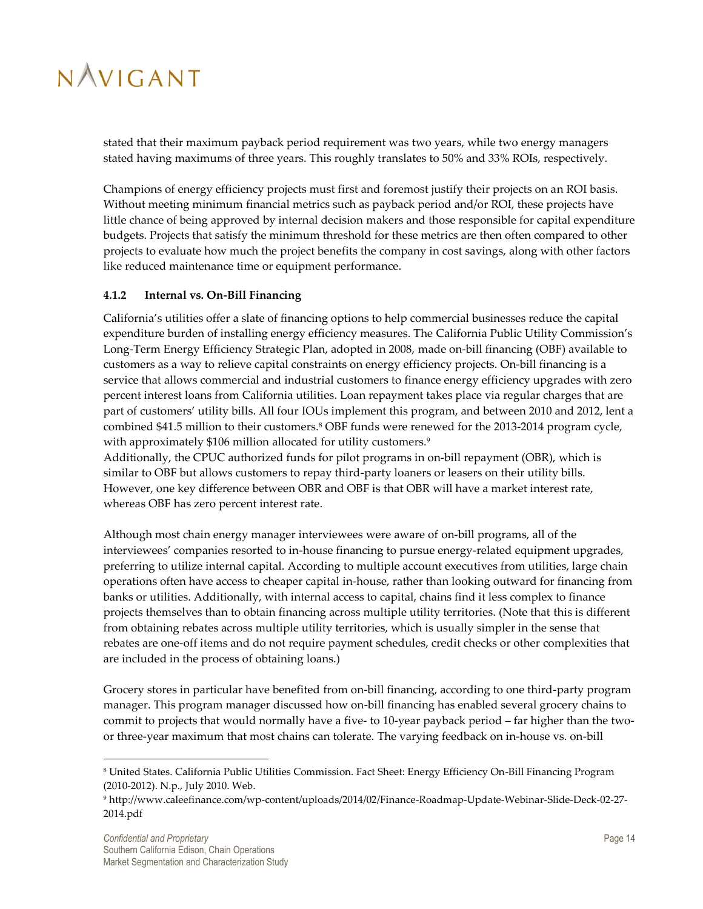stated that their maximum payback period requirement was two years, while two energy managers stated having maximums of three years. This roughly translates to 50% and 33% ROIs, respectively.

Champions of energy efficiency projects must first and foremost justify their projects on an ROI basis. Without meeting minimum financial metrics such as payback period and/or ROI, these projects have little chance of being approved by internal decision makers and those responsible for capital expenditure budgets. Projects that satisfy the minimum threshold for these metrics are then often compared to other projects to evaluate how much the project benefits the company in cost savings, along with other factors like reduced maintenance time or equipment performance.

#### <span id="page-19-0"></span>**4.1.2 Internal vs. On-Bill Financing**

California's utilities offer a slate of financing options to help commercial businesses reduce the capital expenditure burden of installing energy efficiency measures. The California Public Utility Commission's Long-Term Energy Efficiency Strategic Plan, adopted in 2008, made on-bill financing (OBF) available to customers as a way to relieve capital constraints on energy efficiency projects. On-bill financing is a service that allows commercial and industrial customers to finance energy efficiency upgrades with zero percent interest loans from California utilities. Loan repayment takes place via regular charges that are part of customers' utility bills. All four IOUs implement this program, and between 2010 and 2012, lent a combined \$41.5 million to their customers.<sup>8</sup> OBF funds were renewed for the 2013-2014 program cycle, with approximately \$106 million allocated for utility customers.<sup>9</sup>

Additionally, the CPUC authorized funds for pilot programs in on-bill repayment (OBR), which is similar to OBF but allows customers to repay third-party loaners or leasers on their utility bills. However, one key difference between OBR and OBF is that OBR will have a market interest rate, whereas OBF has zero percent interest rate.

Although most chain energy manager interviewees were aware of on-bill programs, all of the interviewees' companies resorted to in-house financing to pursue energy-related equipment upgrades, preferring to utilize internal capital. According to multiple account executives from utilities, large chain operations often have access to cheaper capital in-house, rather than looking outward for financing from banks or utilities. Additionally, with internal access to capital, chains find it less complex to finance projects themselves than to obtain financing across multiple utility territories. (Note that this is different from obtaining rebates across multiple utility territories, which is usually simpler in the sense that rebates are one-off items and do not require payment schedules, credit checks or other complexities that are included in the process of obtaining loans.)

Grocery stores in particular have benefited from on-bill financing, according to one third-party program manager. This program manager discussed how on-bill financing has enabled several grocery chains to commit to projects that would normally have a five- to 10-year payback period – far higher than the twoor three-year maximum that most chains can tolerate. The varying feedback on in-house vs. on-bill

 $\overline{a}$ 

<sup>8</sup> United States. California Public Utilities Commission. Fact Sheet: Energy Efficiency On-Bill Financing Program (2010-2012). N.p., July 2010. Web.

<sup>9</sup> http://www.caleefinance.com/wp-content/uploads/2014/02/Finance-Roadmap-Update-Webinar-Slide-Deck-02-27- 2014.pdf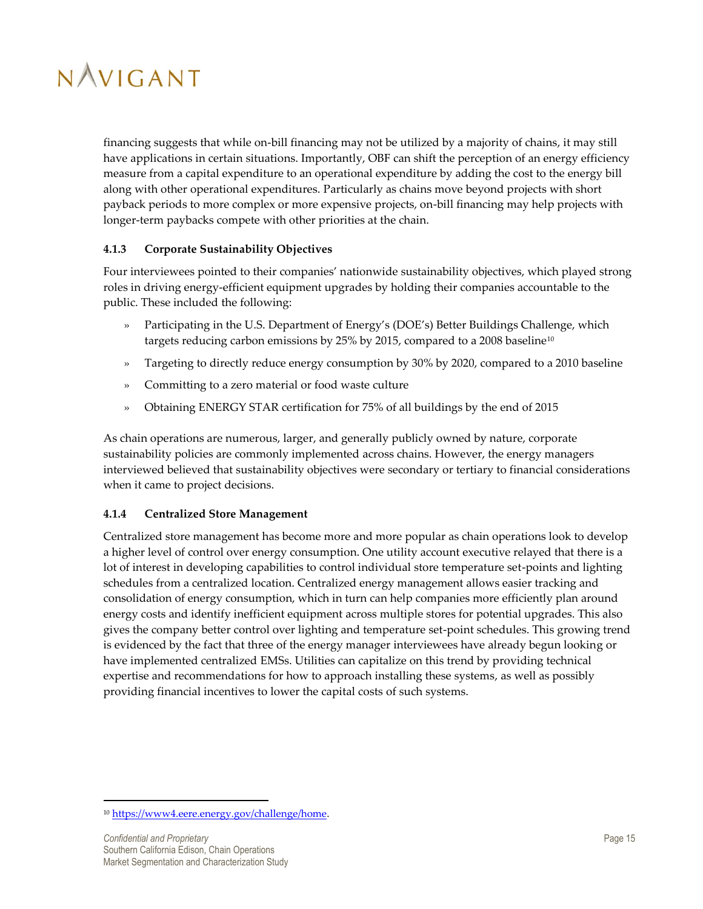

financing suggests that while on-bill financing may not be utilized by a majority of chains, it may still have applications in certain situations. Importantly, OBF can shift the perception of an energy efficiency measure from a capital expenditure to an operational expenditure by adding the cost to the energy bill along with other operational expenditures. Particularly as chains move beyond projects with short payback periods to more complex or more expensive projects, on-bill financing may help projects with longer-term paybacks compete with other priorities at the chain.

#### <span id="page-20-0"></span>**4.1.3 Corporate Sustainability Objectives**

Four interviewees pointed to their companies' nationwide sustainability objectives, which played strong roles in driving energy-efficient equipment upgrades by holding their companies accountable to the public. These included the following:

- » Participating in the U.S. Department of Energy's (DOE's) Better Buildings Challenge, which targets reducing carbon emissions by 25% by 2015, compared to a 2008 baseline<sup>10</sup>
- » Targeting to directly reduce energy consumption by 30% by 2020, compared to a 2010 baseline
- » Committing to a zero material or food waste culture
- » Obtaining ENERGY STAR certification for 75% of all buildings by the end of 2015

As chain operations are numerous, larger, and generally publicly owned by nature, corporate sustainability policies are commonly implemented across chains. However, the energy managers interviewed believed that sustainability objectives were secondary or tertiary to financial considerations when it came to project decisions.

#### <span id="page-20-1"></span>**4.1.4 Centralized Store Management**

Centralized store management has become more and more popular as chain operations look to develop a higher level of control over energy consumption. One utility account executive relayed that there is a lot of interest in developing capabilities to control individual store temperature set-points and lighting schedules from a centralized location. Centralized energy management allows easier tracking and consolidation of energy consumption, which in turn can help companies more efficiently plan around energy costs and identify inefficient equipment across multiple stores for potential upgrades. This also gives the company better control over lighting and temperature set-point schedules. This growing trend is evidenced by the fact that three of the energy manager interviewees have already begun looking or have implemented centralized EMSs. Utilities can capitalize on this trend by providing technical expertise and recommendations for how to approach installing these systems, as well as possibly providing financial incentives to lower the capital costs of such systems.

 $\overline{a}$ 

<sup>&</sup>lt;sup>10</sup> [https://www4.eere.energy.gov/challenge/home.](https://www4.eere.energy.gov/challenge/home)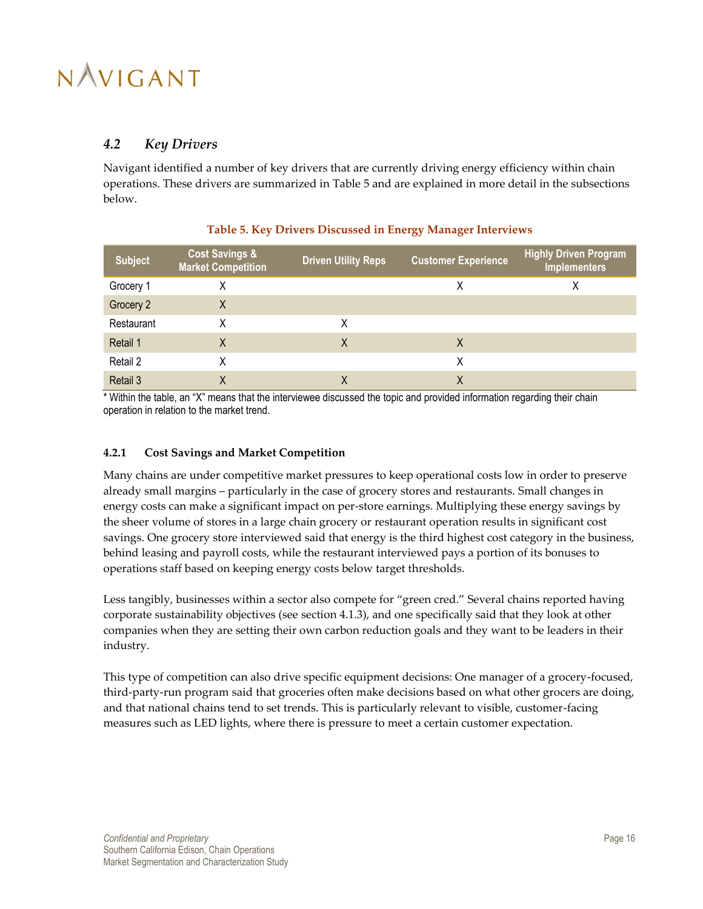## <span id="page-21-0"></span>*4.2 Key Drivers*

Navigant identified a number of key drivers that are currently driving energy efficiency within chain operations. These drivers are summarized in [Table 5](#page-21-2) and are explained in more detail in the subsections below.

<span id="page-21-2"></span>

| <b>Subject</b> | <b>Cost Savings &amp;</b><br><b>Market Competition</b> | <b>Driven Utility Reps</b> | <b>Customer Experience</b> | <b>Highly Driven Program</b><br><b>Implementers</b> |
|----------------|--------------------------------------------------------|----------------------------|----------------------------|-----------------------------------------------------|
| Grocery 1      | Χ                                                      |                            | Χ                          | Χ                                                   |
| Grocery 2      | Χ                                                      |                            |                            |                                                     |
| Restaurant     | Χ                                                      | Χ                          |                            |                                                     |
| Retail 1       | X                                                      | Χ                          | X                          |                                                     |
| Retail 2       | Χ                                                      |                            | X                          |                                                     |
| Retail 3       | Χ                                                      | Χ                          | X                          |                                                     |

#### **Table 5. Key Drivers Discussed in Energy Manager Interviews**

\* Within the table, an "X" means that the interviewee discussed the topic and provided information regarding their chain operation in relation to the market trend.

#### <span id="page-21-1"></span>**4.2.1 Cost Savings and Market Competition**

Many chains are under competitive market pressures to keep operational costs low in order to preserve already small margins – particularly in the case of grocery stores and restaurants. Small changes in energy costs can make a significant impact on per-store earnings. Multiplying these energy savings by the sheer volume of stores in a large chain grocery or restaurant operation results in significant cost savings. One grocery store interviewed said that energy is the third highest cost category in the business, behind leasing and payroll costs, while the restaurant interviewed pays a portion of its bonuses to operations staff based on keeping energy costs below target thresholds.

Less tangibly, businesses within a sector also compete for "green cred." Several chains reported having corporate sustainability objectives (see section [4.1.3\)](#page-20-0), and one specifically said that they look at other companies when they are setting their own carbon reduction goals and they want to be leaders in their industry.

This type of competition can also drive specific equipment decisions: One manager of a grocery-focused, third-party-run program said that groceries often make decisions based on what other grocers are doing, and that national chains tend to set trends. This is particularly relevant to visible, customer-facing measures such as LED lights, where there is pressure to meet a certain customer expectation.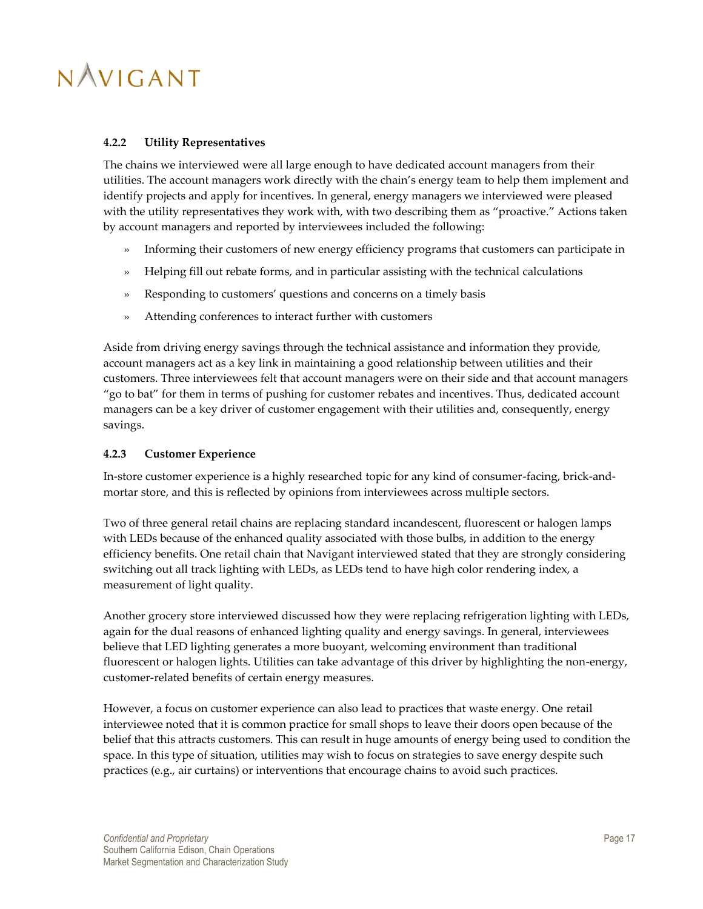#### <span id="page-22-0"></span>**4.2.2 Utility Representatives**

The chains we interviewed were all large enough to have dedicated account managers from their utilities. The account managers work directly with the chain's energy team to help them implement and identify projects and apply for incentives. In general, energy managers we interviewed were pleased with the utility representatives they work with, with two describing them as "proactive." Actions taken by account managers and reported by interviewees included the following:

- » Informing their customers of new energy efficiency programs that customers can participate in
- » Helping fill out rebate forms, and in particular assisting with the technical calculations
- » Responding to customers' questions and concerns on a timely basis
- » Attending conferences to interact further with customers

Aside from driving energy savings through the technical assistance and information they provide, account managers act as a key link in maintaining a good relationship between utilities and their customers. Three interviewees felt that account managers were on their side and that account managers "go to bat" for them in terms of pushing for customer rebates and incentives. Thus, dedicated account managers can be a key driver of customer engagement with their utilities and, consequently, energy savings.

#### <span id="page-22-1"></span>**4.2.3 Customer Experience**

In-store customer experience is a highly researched topic for any kind of consumer-facing, brick-andmortar store, and this is reflected by opinions from interviewees across multiple sectors.

Two of three general retail chains are replacing standard incandescent, fluorescent or halogen lamps with LEDs because of the enhanced quality associated with those bulbs, in addition to the energy efficiency benefits. One retail chain that Navigant interviewed stated that they are strongly considering switching out all track lighting with LEDs, as LEDs tend to have high color rendering index, a measurement of light quality.

Another grocery store interviewed discussed how they were replacing refrigeration lighting with LEDs, again for the dual reasons of enhanced lighting quality and energy savings. In general, interviewees believe that LED lighting generates a more buoyant, welcoming environment than traditional fluorescent or halogen lights. Utilities can take advantage of this driver by highlighting the non-energy, customer-related benefits of certain energy measures.

However, a focus on customer experience can also lead to practices that waste energy. One retail interviewee noted that it is common practice for small shops to leave their doors open because of the belief that this attracts customers. This can result in huge amounts of energy being used to condition the space. In this type of situation, utilities may wish to focus on strategies to save energy despite such practices (e.g., air curtains) or interventions that encourage chains to avoid such practices.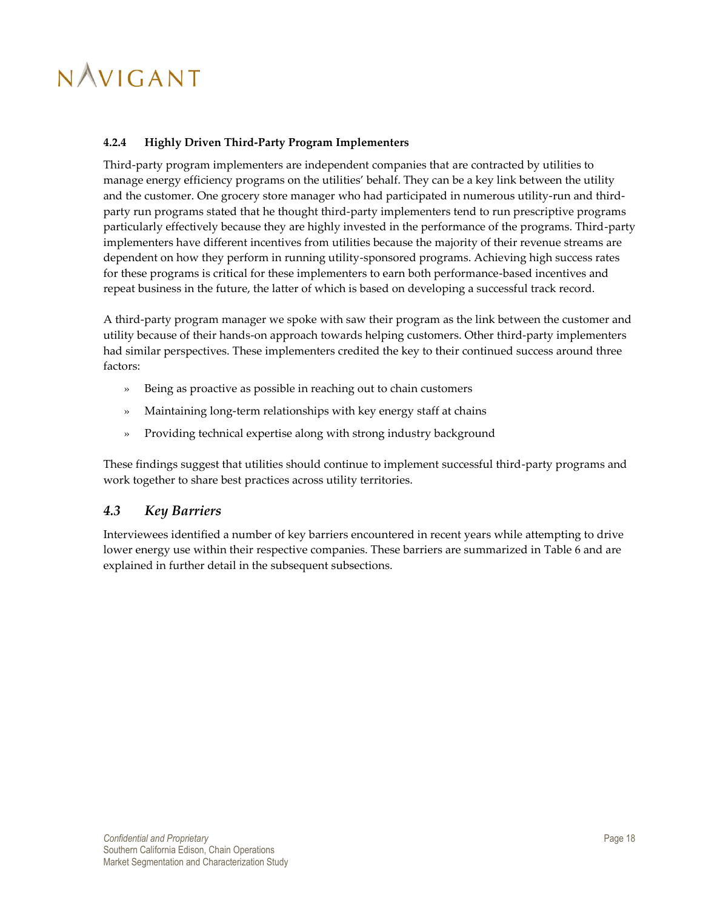#### <span id="page-23-0"></span>**4.2.4 Highly Driven Third-Party Program Implementers**

Third-party program implementers are independent companies that are contracted by utilities to manage energy efficiency programs on the utilities' behalf. They can be a key link between the utility and the customer. One grocery store manager who had participated in numerous utility-run and thirdparty run programs stated that he thought third-party implementers tend to run prescriptive programs particularly effectively because they are highly invested in the performance of the programs. Third-party implementers have different incentives from utilities because the majority of their revenue streams are dependent on how they perform in running utility-sponsored programs. Achieving high success rates for these programs is critical for these implementers to earn both performance-based incentives and repeat business in the future, the latter of which is based on developing a successful track record.

A third-party program manager we spoke with saw their program as the link between the customer and utility because of their hands-on approach towards helping customers. Other third-party implementers had similar perspectives. These implementers credited the key to their continued success around three factors:

- » Being as proactive as possible in reaching out to chain customers
- » Maintaining long-term relationships with key energy staff at chains
- » Providing technical expertise along with strong industry background

These findings suggest that utilities should continue to implement successful third-party programs and work together to share best practices across utility territories.

### <span id="page-23-1"></span>*4.3 Key Barriers*

Interviewees identified a number of key barriers encountered in recent years while attempting to drive lower energy use within their respective companies. These barriers are summarized in Table 6 and are explained in further detail in the subsequent subsections.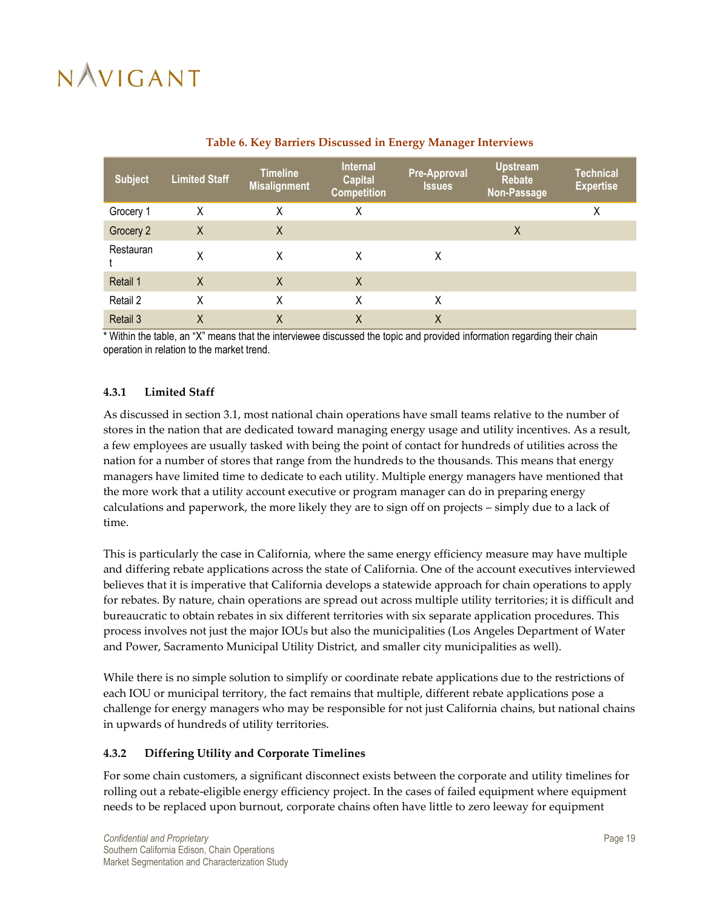<span id="page-24-2"></span>

| <b>Subject</b> | <b>Limited Staff</b> | <b>Timeline</b><br><b>Misalignment</b> | <b>Internal</b><br><b>Capital</b><br><b>Competition</b> | <b>Pre-Approval</b><br><b>Issues</b> | <b>Upstream</b><br><b>Rebate</b><br>Non-Passage | <b>Technical</b><br><b>Expertise</b> |
|----------------|----------------------|----------------------------------------|---------------------------------------------------------|--------------------------------------|-------------------------------------------------|--------------------------------------|
| Grocery 1      | X                    | X                                      | Χ                                                       |                                      |                                                 | X                                    |
| Grocery 2      | X                    | X                                      |                                                         |                                      | X                                               |                                      |
| Restauran      | Χ                    | X                                      | X                                                       | Χ                                    |                                                 |                                      |
| Retail 1       | X                    | X                                      | $\mathsf{X}$                                            |                                      |                                                 |                                      |
| Retail 2       | Χ                    | X                                      | X                                                       | X                                    |                                                 |                                      |
| Retail 3       | X                    | Χ                                      | Χ                                                       | Χ                                    |                                                 |                                      |

## **Table 6. Key Barriers Discussed in Energy Manager Interviews**

\* Within the table, an "X" means that the interviewee discussed the topic and provided information regarding their chain operation in relation to the market trend.

#### <span id="page-24-0"></span>**4.3.1 Limited Staff**

As discussed in section [3.1,](#page-12-1) most national chain operations have small teams relative to the number of stores in the nation that are dedicated toward managing energy usage and utility incentives. As a result, a few employees are usually tasked with being the point of contact for hundreds of utilities across the nation for a number of stores that range from the hundreds to the thousands. This means that energy managers have limited time to dedicate to each utility. Multiple energy managers have mentioned that the more work that a utility account executive or program manager can do in preparing energy calculations and paperwork, the more likely they are to sign off on projects – simply due to a lack of time.

This is particularly the case in California, where the same energy efficiency measure may have multiple and differing rebate applications across the state of California. One of the account executives interviewed believes that it is imperative that California develops a statewide approach for chain operations to apply for rebates. By nature, chain operations are spread out across multiple utility territories; it is difficult and bureaucratic to obtain rebates in six different territories with six separate application procedures. This process involves not just the major IOUs but also the municipalities (Los Angeles Department of Water and Power, Sacramento Municipal Utility District, and smaller city municipalities as well).

While there is no simple solution to simplify or coordinate rebate applications due to the restrictions of each IOU or municipal territory, the fact remains that multiple, different rebate applications pose a challenge for energy managers who may be responsible for not just California chains, but national chains in upwards of hundreds of utility territories.

#### <span id="page-24-1"></span>**4.3.2 Differing Utility and Corporate Timelines**

For some chain customers, a significant disconnect exists between the corporate and utility timelines for rolling out a rebate-eligible energy efficiency project. In the cases of failed equipment where equipment needs to be replaced upon burnout, corporate chains often have little to zero leeway for equipment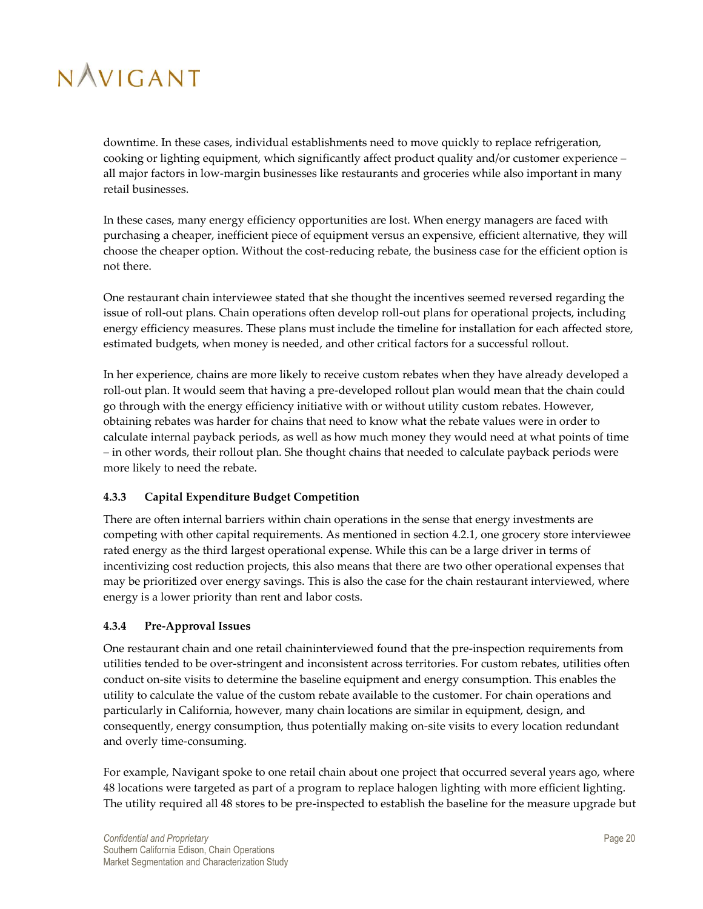downtime. In these cases, individual establishments need to move quickly to replace refrigeration, cooking or lighting equipment, which significantly affect product quality and/or customer experience – all major factors in low-margin businesses like restaurants and groceries while also important in many retail businesses.

In these cases, many energy efficiency opportunities are lost. When energy managers are faced with purchasing a cheaper, inefficient piece of equipment versus an expensive, efficient alternative, they will choose the cheaper option. Without the cost-reducing rebate, the business case for the efficient option is not there.

One restaurant chain interviewee stated that she thought the incentives seemed reversed regarding the issue of roll-out plans. Chain operations often develop roll-out plans for operational projects, including energy efficiency measures. These plans must include the timeline for installation for each affected store, estimated budgets, when money is needed, and other critical factors for a successful rollout.

In her experience, chains are more likely to receive custom rebates when they have already developed a roll-out plan. It would seem that having a pre-developed rollout plan would mean that the chain could go through with the energy efficiency initiative with or without utility custom rebates. However, obtaining rebates was harder for chains that need to know what the rebate values were in order to calculate internal payback periods, as well as how much money they would need at what points of time – in other words, their rollout plan. She thought chains that needed to calculate payback periods were more likely to need the rebate.

### <span id="page-25-0"></span>**4.3.3 Capital Expenditure Budget Competition**

There are often internal barriers within chain operations in the sense that energy investments are competing with other capital requirements. As mentioned in sectio[n 4.2.1,](#page-21-1) one grocery store interviewee rated energy as the third largest operational expense. While this can be a large driver in terms of incentivizing cost reduction projects, this also means that there are two other operational expenses that may be prioritized over energy savings. This is also the case for the chain restaurant interviewed, where energy is a lower priority than rent and labor costs.

#### <span id="page-25-1"></span>**4.3.4 Pre-Approval Issues**

One restaurant chain and one retail chaininterviewed found that the pre-inspection requirements from utilities tended to be over-stringent and inconsistent across territories. For custom rebates, utilities often conduct on-site visits to determine the baseline equipment and energy consumption. This enables the utility to calculate the value of the custom rebate available to the customer. For chain operations and particularly in California, however, many chain locations are similar in equipment, design, and consequently, energy consumption, thus potentially making on-site visits to every location redundant and overly time-consuming.

For example, Navigant spoke to one retail chain about one project that occurred several years ago, where 48 locations were targeted as part of a program to replace halogen lighting with more efficient lighting. The utility required all 48 stores to be pre-inspected to establish the baseline for the measure upgrade but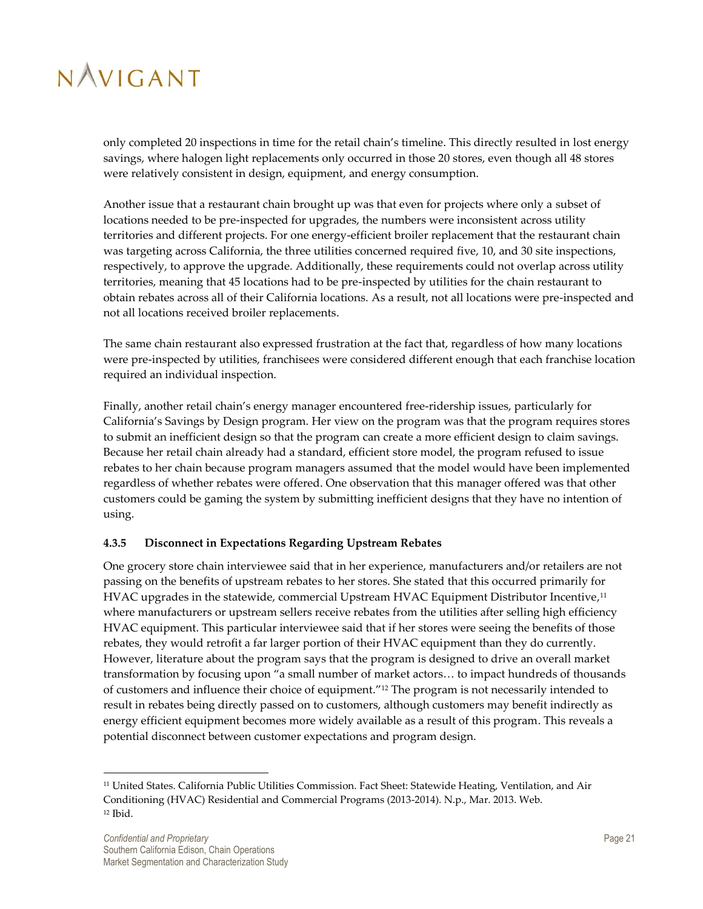only completed 20 inspections in time for the retail chain's timeline. This directly resulted in lost energy savings, where halogen light replacements only occurred in those 20 stores, even though all 48 stores were relatively consistent in design, equipment, and energy consumption.

Another issue that a restaurant chain brought up was that even for projects where only a subset of locations needed to be pre-inspected for upgrades, the numbers were inconsistent across utility territories and different projects. For one energy-efficient broiler replacement that the restaurant chain was targeting across California, the three utilities concerned required five, 10, and 30 site inspections, respectively, to approve the upgrade. Additionally, these requirements could not overlap across utility territories, meaning that 45 locations had to be pre-inspected by utilities for the chain restaurant to obtain rebates across all of their California locations. As a result, not all locations were pre-inspected and not all locations received broiler replacements.

The same chain restaurant also expressed frustration at the fact that, regardless of how many locations were pre-inspected by utilities, franchisees were considered different enough that each franchise location required an individual inspection.

Finally, another retail chain's energy manager encountered free-ridership issues, particularly for California's Savings by Design program. Her view on the program was that the program requires stores to submit an inefficient design so that the program can create a more efficient design to claim savings. Because her retail chain already had a standard, efficient store model, the program refused to issue rebates to her chain because program managers assumed that the model would have been implemented regardless of whether rebates were offered. One observation that this manager offered was that other customers could be gaming the system by submitting inefficient designs that they have no intention of using.

### <span id="page-26-0"></span>**4.3.5 Disconnect in Expectations Regarding Upstream Rebates**

One grocery store chain interviewee said that in her experience, manufacturers and/or retailers are not passing on the benefits of upstream rebates to her stores. She stated that this occurred primarily for HVAC upgrades in the statewide, commercial Upstream HVAC Equipment Distributor Incentive, 11 where manufacturers or upstream sellers receive rebates from the utilities after selling high efficiency HVAC equipment. This particular interviewee said that if her stores were seeing the benefits of those rebates, they would retrofit a far larger portion of their HVAC equipment than they do currently. However, literature about the program says that the program is designed to drive an overall market transformation by focusing upon "a small number of market actors… to impact hundreds of thousands of customers and influence their choice of equipment." <sup>12</sup> The program is not necessarily intended to result in rebates being directly passed on to customers, although customers may benefit indirectly as energy efficient equipment becomes more widely available as a result of this program. This reveals a potential disconnect between customer expectations and program design.

1

<sup>&</sup>lt;sup>11</sup> United States. California Public Utilities Commission. Fact Sheet: Statewide Heating, Ventilation, and Air Conditioning (HVAC) Residential and Commercial Programs (2013-2014). N.p., Mar. 2013. Web. <sup>12</sup> Ibid.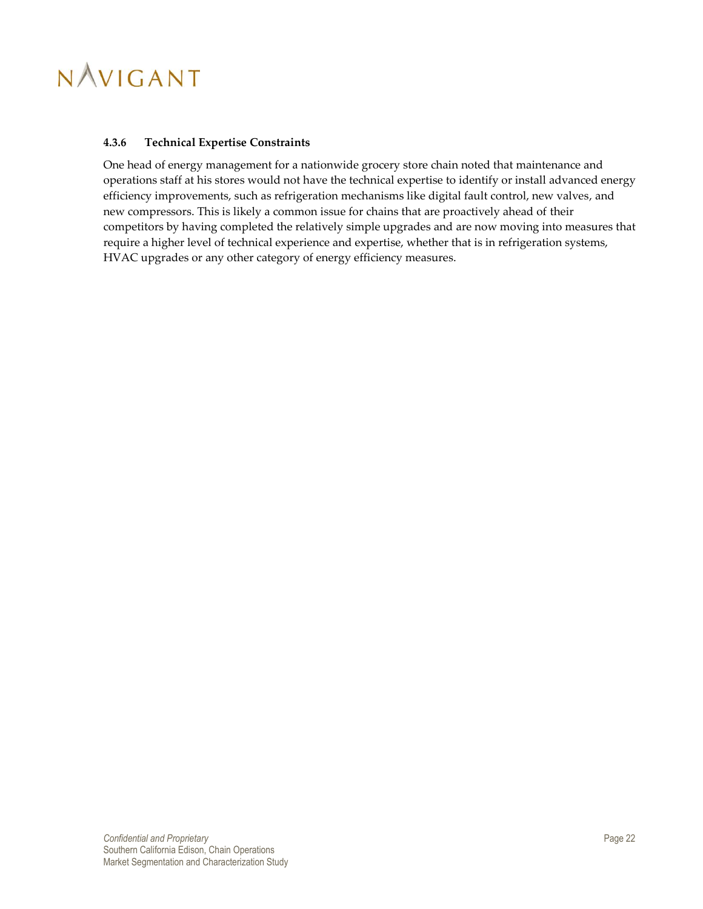#### <span id="page-27-0"></span>**4.3.6 Technical Expertise Constraints**

One head of energy management for a nationwide grocery store chain noted that maintenance and operations staff at his stores would not have the technical expertise to identify or install advanced energy efficiency improvements, such as refrigeration mechanisms like digital fault control, new valves, and new compressors. This is likely a common issue for chains that are proactively ahead of their competitors by having completed the relatively simple upgrades and are now moving into measures that require a higher level of technical experience and expertise, whether that is in refrigeration systems, HVAC upgrades or any other category of energy efficiency measures.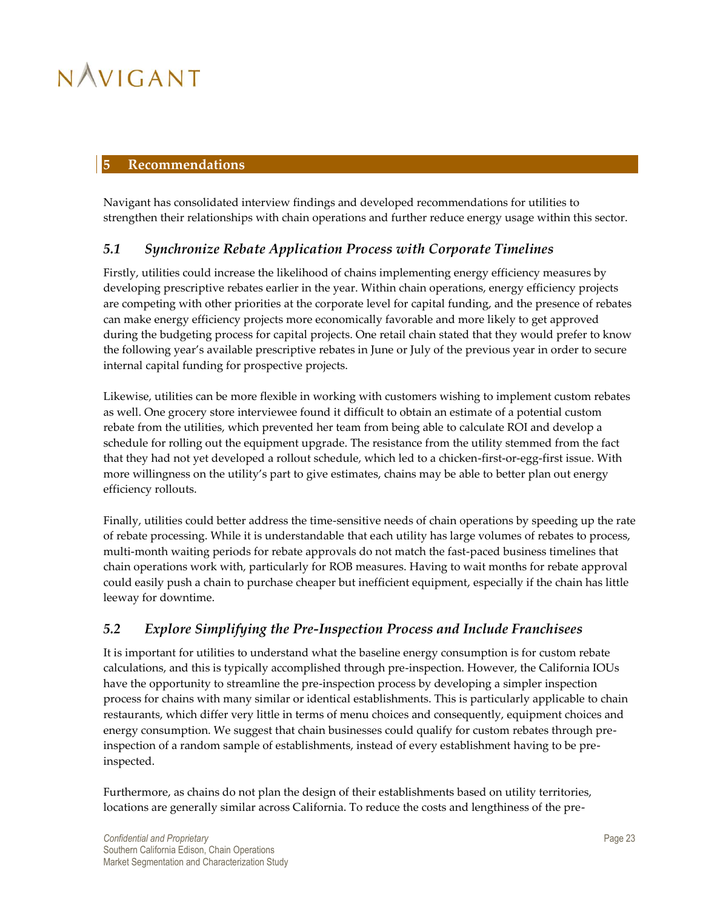#### <span id="page-28-0"></span>**5 Recommendations**

Navigant has consolidated interview findings and developed recommendations for utilities to strengthen their relationships with chain operations and further reduce energy usage within this sector.

### <span id="page-28-1"></span>*5.1 Synchronize Rebate Application Process with Corporate Timelines*

Firstly, utilities could increase the likelihood of chains implementing energy efficiency measures by developing prescriptive rebates earlier in the year. Within chain operations, energy efficiency projects are competing with other priorities at the corporate level for capital funding, and the presence of rebates can make energy efficiency projects more economically favorable and more likely to get approved during the budgeting process for capital projects. One retail chain stated that they would prefer to know the following year's available prescriptive rebates in June or July of the previous year in order to secure internal capital funding for prospective projects.

Likewise, utilities can be more flexible in working with customers wishing to implement custom rebates as well. One grocery store interviewee found it difficult to obtain an estimate of a potential custom rebate from the utilities, which prevented her team from being able to calculate ROI and develop a schedule for rolling out the equipment upgrade. The resistance from the utility stemmed from the fact that they had not yet developed a rollout schedule, which led to a chicken-first-or-egg-first issue. With more willingness on the utility's part to give estimates, chains may be able to better plan out energy efficiency rollouts.

Finally, utilities could better address the time-sensitive needs of chain operations by speeding up the rate of rebate processing. While it is understandable that each utility has large volumes of rebates to process, multi-month waiting periods for rebate approvals do not match the fast-paced business timelines that chain operations work with, particularly for ROB measures. Having to wait months for rebate approval could easily push a chain to purchase cheaper but inefficient equipment, especially if the chain has little leeway for downtime.

## <span id="page-28-2"></span>*5.2 Explore Simplifying the Pre-Inspection Process and Include Franchisees*

It is important for utilities to understand what the baseline energy consumption is for custom rebate calculations, and this is typically accomplished through pre-inspection. However, the California IOUs have the opportunity to streamline the pre-inspection process by developing a simpler inspection process for chains with many similar or identical establishments. This is particularly applicable to chain restaurants, which differ very little in terms of menu choices and consequently, equipment choices and energy consumption. We suggest that chain businesses could qualify for custom rebates through preinspection of a random sample of establishments, instead of every establishment having to be preinspected.

Furthermore, as chains do not plan the design of their establishments based on utility territories, locations are generally similar across California. To reduce the costs and lengthiness of the pre-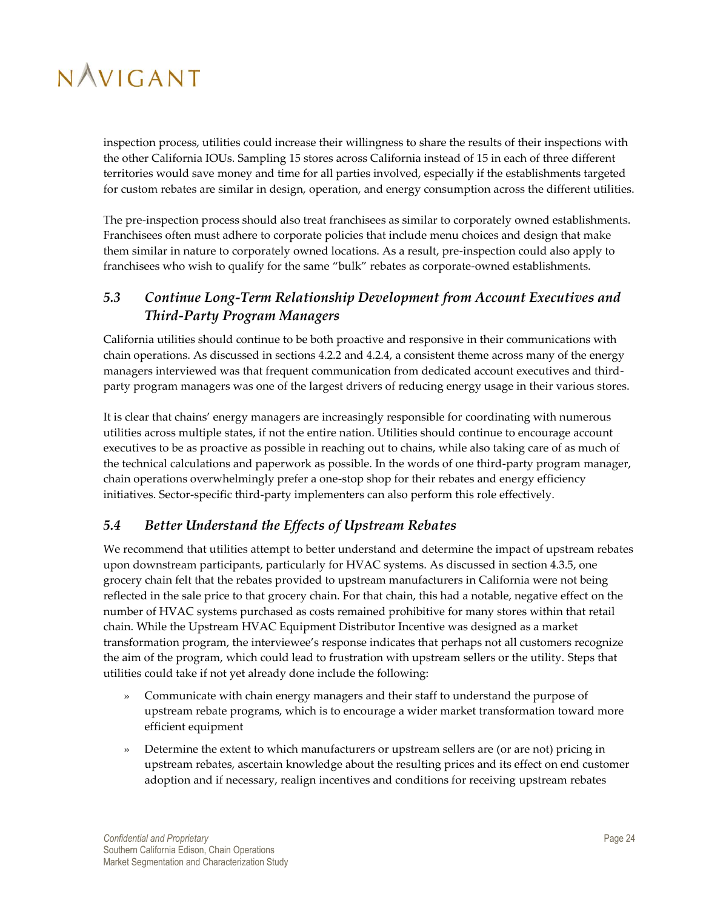inspection process, utilities could increase their willingness to share the results of their inspections with the other California IOUs. Sampling 15 stores across California instead of 15 in each of three different territories would save money and time for all parties involved, especially if the establishments targeted for custom rebates are similar in design, operation, and energy consumption across the different utilities.

The pre-inspection process should also treat franchisees as similar to corporately owned establishments. Franchisees often must adhere to corporate policies that include menu choices and design that make them similar in nature to corporately owned locations. As a result, pre-inspection could also apply to franchisees who wish to qualify for the same "bulk" rebates as corporate-owned establishments.

## <span id="page-29-0"></span>*5.3 Continue Long-Term Relationship Development from Account Executives and Third-Party Program Managers*

California utilities should continue to be both proactive and responsive in their communications with chain operations. As discussed in sections [4.2.2](#page-22-0) and [4.2.4,](#page-23-0) a consistent theme across many of the energy managers interviewed was that frequent communication from dedicated account executives and thirdparty program managers was one of the largest drivers of reducing energy usage in their various stores.

It is clear that chains' energy managers are increasingly responsible for coordinating with numerous utilities across multiple states, if not the entire nation. Utilities should continue to encourage account executives to be as proactive as possible in reaching out to chains, while also taking care of as much of the technical calculations and paperwork as possible. In the words of one third-party program manager, chain operations overwhelmingly prefer a one-stop shop for their rebates and energy efficiency initiatives. Sector-specific third-party implementers can also perform this role effectively.

## <span id="page-29-1"></span>*5.4 Better Understand the Effects of Upstream Rebates*

We recommend that utilities attempt to better understand and determine the impact of upstream rebates upon downstream participants, particularly for HVAC systems. As discussed in section 4.3.5, one grocery chain felt that the rebates provided to upstream manufacturers in California were not being reflected in the sale price to that grocery chain. For that chain, this had a notable, negative effect on the number of HVAC systems purchased as costs remained prohibitive for many stores within that retail chain. While the Upstream HVAC Equipment Distributor Incentive was designed as a market transformation program, the interviewee's response indicates that perhaps not all customers recognize the aim of the program, which could lead to frustration with upstream sellers or the utility. Steps that utilities could take if not yet already done include the following:

- » Communicate with chain energy managers and their staff to understand the purpose of upstream rebate programs, which is to encourage a wider market transformation toward more efficient equipment
- » Determine the extent to which manufacturers or upstream sellers are (or are not) pricing in upstream rebates, ascertain knowledge about the resulting prices and its effect on end customer adoption and if necessary, realign incentives and conditions for receiving upstream rebates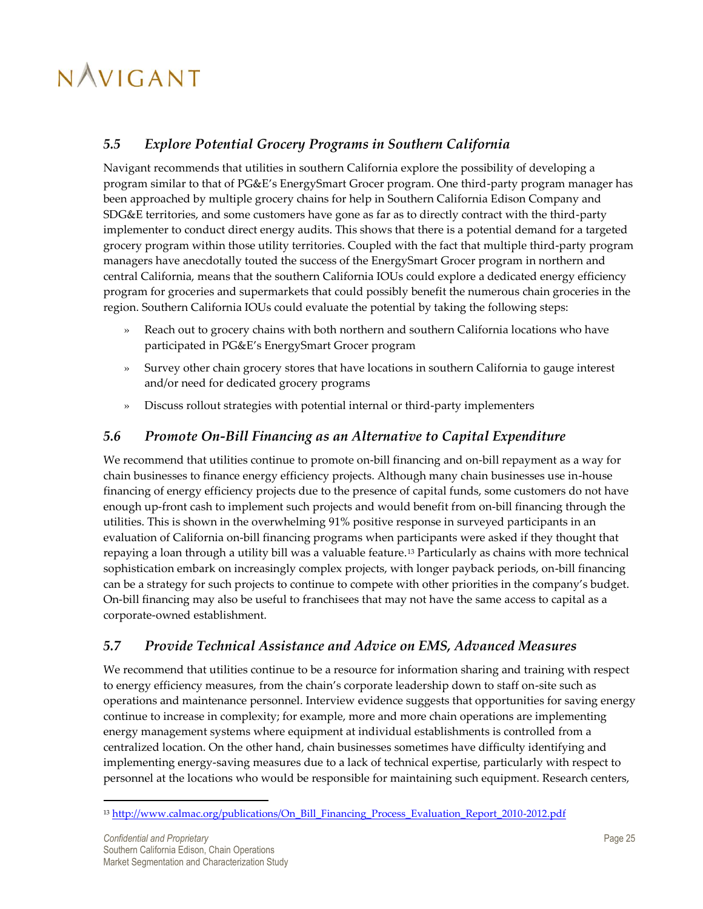## <span id="page-30-0"></span>*5.5 Explore Potential Grocery Programs in Southern California*

Navigant recommends that utilities in southern California explore the possibility of developing a program similar to that of PG&E's EnergySmart Grocer program. One third-party program manager has been approached by multiple grocery chains for help in Southern California Edison Company and SDG&E territories, and some customers have gone as far as to directly contract with the third-party implementer to conduct direct energy audits. This shows that there is a potential demand for a targeted grocery program within those utility territories. Coupled with the fact that multiple third-party program managers have anecdotally touted the success of the EnergySmart Grocer program in northern and central California, means that the southern California IOUs could explore a dedicated energy efficiency program for groceries and supermarkets that could possibly benefit the numerous chain groceries in the region. Southern California IOUs could evaluate the potential by taking the following steps:

- » Reach out to grocery chains with both northern and southern California locations who have participated in PG&E's EnergySmart Grocer program
- » Survey other chain grocery stores that have locations in southern California to gauge interest and/or need for dedicated grocery programs
- » Discuss rollout strategies with potential internal or third-party implementers

### <span id="page-30-1"></span>*5.6 Promote On-Bill Financing as an Alternative to Capital Expenditure*

We recommend that utilities continue to promote on-bill financing and on-bill repayment as a way for chain businesses to finance energy efficiency projects. Although many chain businesses use in-house financing of energy efficiency projects due to the presence of capital funds, some customers do not have enough up-front cash to implement such projects and would benefit from on-bill financing through the utilities. This is shown in the overwhelming 91% positive response in surveyed participants in an evaluation of California on-bill financing programs when participants were asked if they thought that repaying a loan through a utility bill was a valuable feature.<sup>13</sup> Particularly as chains with more technical sophistication embark on increasingly complex projects, with longer payback periods, on-bill financing can be a strategy for such projects to continue to compete with other priorities in the company's budget. On-bill financing may also be useful to franchisees that may not have the same access to capital as a corporate-owned establishment.

## <span id="page-30-2"></span>*5.7 Provide Technical Assistance and Advice on EMS, Advanced Measures*

We recommend that utilities continue to be a resource for information sharing and training with respect to energy efficiency measures, from the chain's corporate leadership down to staff on-site such as operations and maintenance personnel. Interview evidence suggests that opportunities for saving energy continue to increase in complexity; for example, more and more chain operations are implementing energy management systems where equipment at individual establishments is controlled from a centralized location. On the other hand, chain businesses sometimes have difficulty identifying and implementing energy-saving measures due to a lack of technical expertise, particularly with respect to personnel at the locations who would be responsible for maintaining such equipment. Research centers,

 $\overline{a}$ 

<sup>&</sup>lt;sup>13</sup> [http://www.calmac.org/publications/On\\_Bill\\_Financing\\_Process\\_Evaluation\\_Report\\_2010-2012.pdf](http://www.calmac.org/publications/On_Bill_Financing_Process_Evaluation_Report_2010-2012.pdf)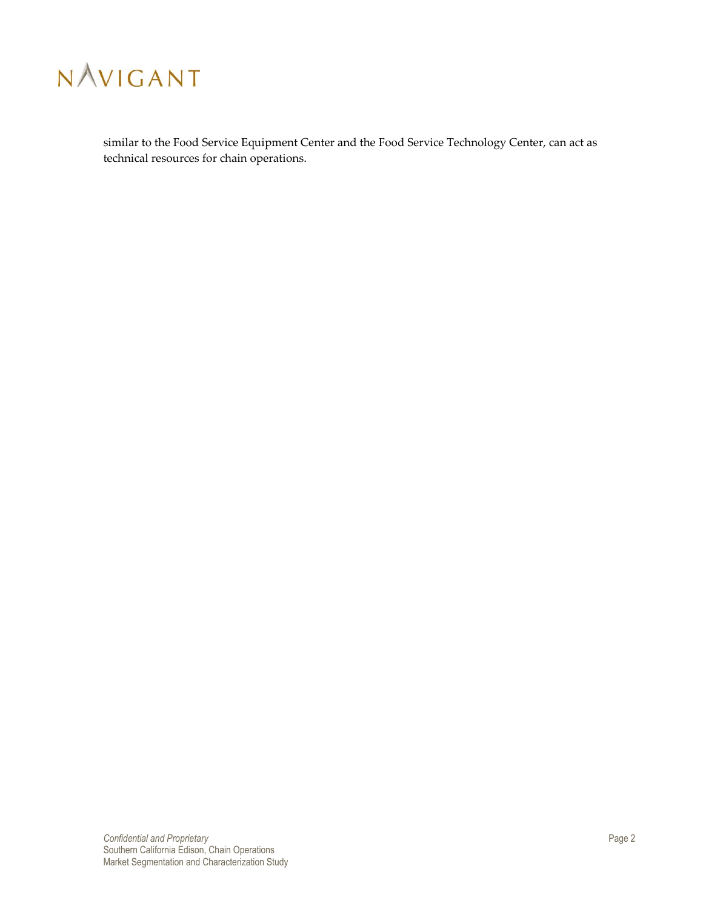

similar to the Food Service Equipment Center and the Food Service Technology Center, can act as technical resources for chain operations.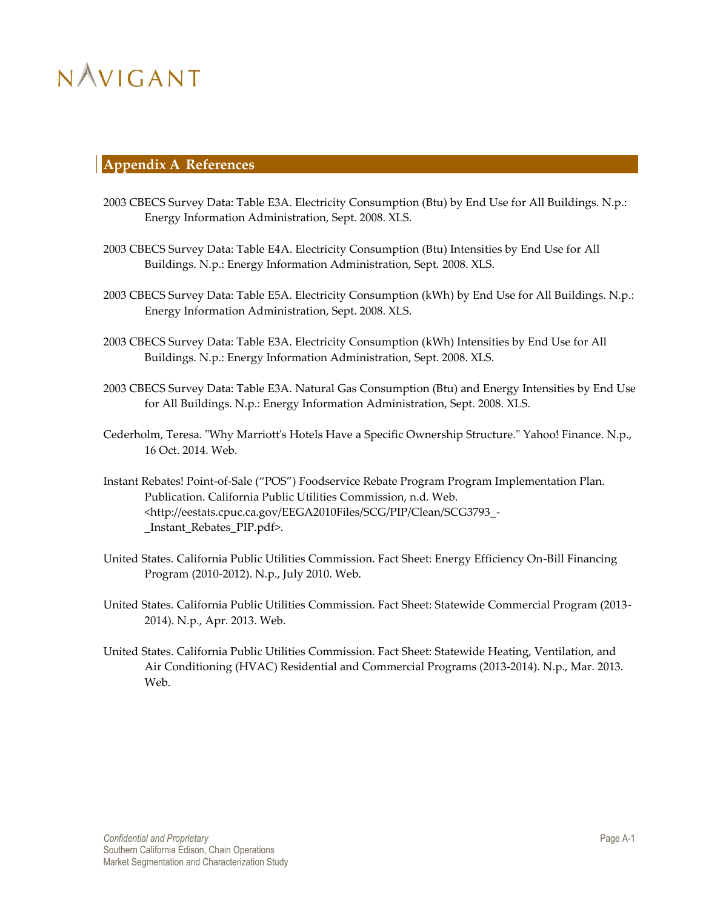### <span id="page-32-0"></span>**Appendix A References**

- 2003 CBECS Survey Data: Table E3A. Electricity Consumption (Btu) by End Use for All Buildings. N.p.: Energy Information Administration, Sept. 2008. XLS.
- 2003 CBECS Survey Data: Table E4A. Electricity Consumption (Btu) Intensities by End Use for All Buildings. N.p.: Energy Information Administration, Sept. 2008. XLS.
- 2003 CBECS Survey Data: Table E5A. Electricity Consumption (kWh) by End Use for All Buildings. N.p.: Energy Information Administration, Sept. 2008. XLS.
- 2003 CBECS Survey Data: Table E3A. Electricity Consumption (kWh) Intensities by End Use for All Buildings. N.p.: Energy Information Administration, Sept. 2008. XLS.
- 2003 CBECS Survey Data: Table E3A. Natural Gas Consumption (Btu) and Energy Intensities by End Use for All Buildings. N.p.: Energy Information Administration, Sept. 2008. XLS.
- Cederholm, Teresa. "Why Marriott's Hotels Have a Specific Ownership Structure." Yahoo! Finance. N.p., 16 Oct. 2014. Web.
- Instant Rebates! Point-of-Sale ("POS") Foodservice Rebate Program Program Implementation Plan. Publication. California Public Utilities Commission, n.d. Web. <http://eestats.cpuc.ca.gov/EEGA2010Files/SCG/PIP/Clean/SCG3793\_- \_Instant\_Rebates\_PIP.pdf>.
- United States. California Public Utilities Commission. Fact Sheet: Energy Efficiency On-Bill Financing Program (2010-2012). N.p., July 2010. Web.
- United States. California Public Utilities Commission. Fact Sheet: Statewide Commercial Program (2013- 2014). N.p., Apr. 2013. Web.
- United States. California Public Utilities Commission. Fact Sheet: Statewide Heating, Ventilation, and Air Conditioning (HVAC) Residential and Commercial Programs (2013-2014). N.p., Mar. 2013. Web.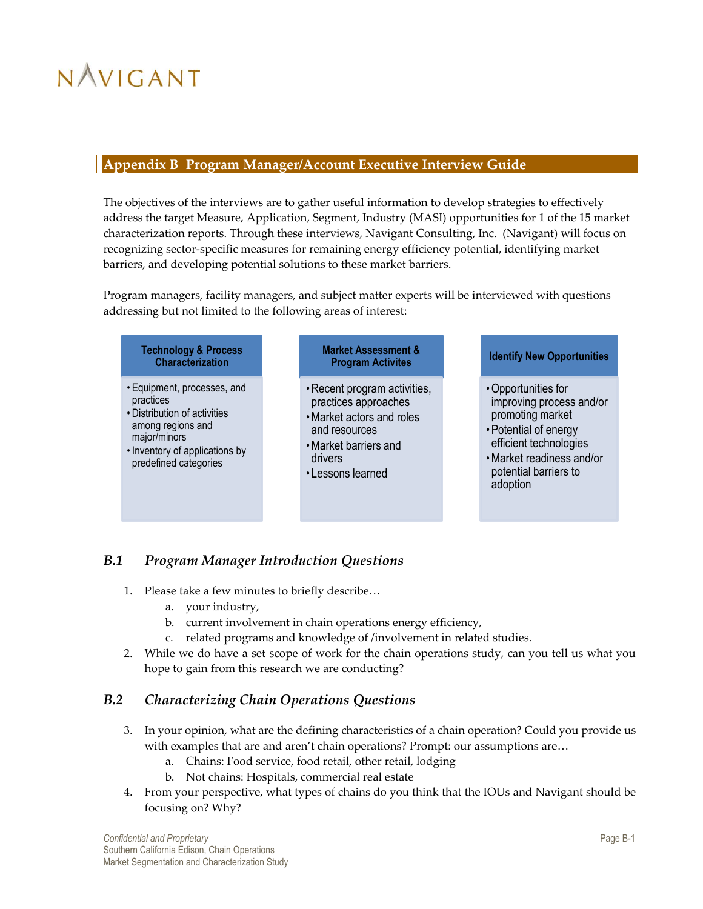### <span id="page-33-0"></span>**Appendix B Program Manager/Account Executive Interview Guide**

The objectives of the interviews are to gather useful information to develop strategies to effectively address the target Measure, Application, Segment, Industry (MASI) opportunities for 1 of the 15 market characterization reports. Through these interviews, Navigant Consulting, Inc. (Navigant) will focus on recognizing sector-specific measures for remaining energy efficiency potential, identifying market barriers, and developing potential solutions to these market barriers.

Program managers, facility managers, and subject matter experts will be interviewed with questions addressing but not limited to the following areas of interest:

#### **Technology & Process Characterization**

- Equipment, processes, and practices
- Distribution of activities among regions and major/minors
- Inventory of applications by predefined categories

#### **Market Assessment & Program Activites**

- •Recent program activities, practices approaches
- •Market actors and roles and resources •Market barriers and
- drivers
- Lessons learned

#### **Identify New Opportunities**

- •Opportunities for improving process and/or promoting market
- •Potential of energy efficient technologies
- •Market readiness and/or potential barriers to adoption

## <span id="page-33-1"></span>*B.1 Program Manager Introduction Questions*

- 1. Please take a few minutes to briefly describe…
	- a. your industry,
	- b. current involvement in chain operations energy efficiency,
	- c. related programs and knowledge of /involvement in related studies.
- 2. While we do have a set scope of work for the chain operations study, can you tell us what you hope to gain from this research we are conducting?

## <span id="page-33-2"></span>*B.2 Characterizing Chain Operations Questions*

- 3. In your opinion, what are the defining characteristics of a chain operation? Could you provide us with examples that are and aren't chain operations? Prompt: our assumptions are...
	- a. Chains: Food service, food retail, other retail, lodging
	- b. Not chains: Hospitals, commercial real estate
- 4. From your perspective, what types of chains do you think that the IOUs and Navigant should be focusing on? Why?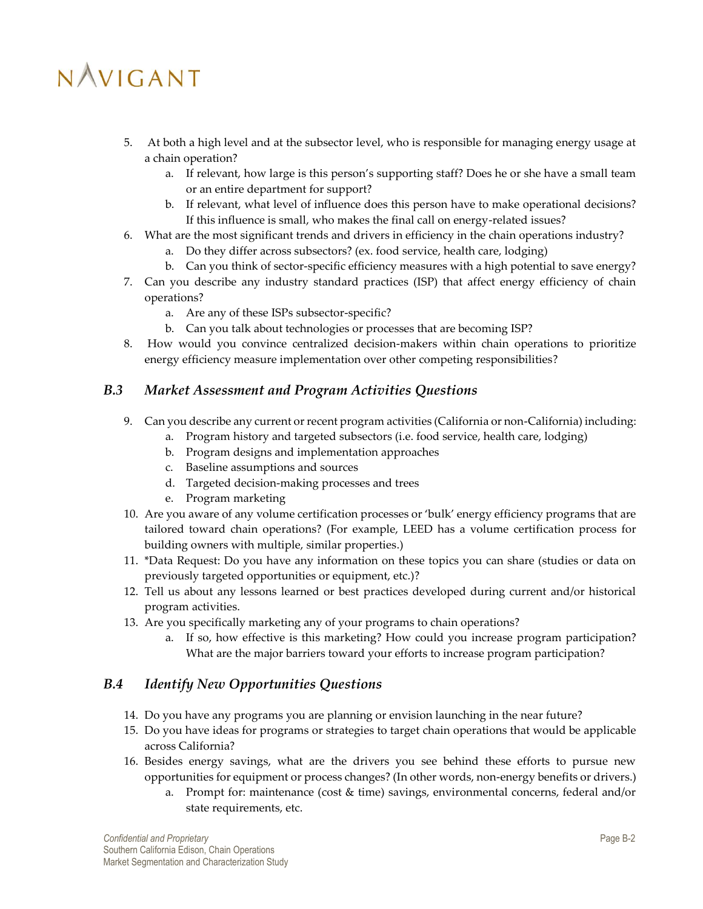- 5. At both a high level and at the subsector level, who is responsible for managing energy usage at a chain operation?
	- a. If relevant, how large is this person's supporting staff? Does he or she have a small team or an entire department for support?
	- b. If relevant, what level of influence does this person have to make operational decisions? If this influence is small, who makes the final call on energy-related issues?
- 6. What are the most significant trends and drivers in efficiency in the chain operations industry?
	- a. Do they differ across subsectors? (ex. food service, health care, lodging)
	- b. Can you think of sector-specific efficiency measures with a high potential to save energy?
- 7. Can you describe any industry standard practices (ISP) that affect energy efficiency of chain operations?
	- a. Are any of these ISPs subsector-specific?
	- b. Can you talk about technologies or processes that are becoming ISP?
- 8. How would you convince centralized decision-makers within chain operations to prioritize energy efficiency measure implementation over other competing responsibilities?

### <span id="page-34-0"></span>*B.3 Market Assessment and Program Activities Questions*

- 9. Can you describe any current or recent program activities (California or non-California) including:
	- a. Program history and targeted subsectors (i.e. food service, health care, lodging)
	- b. Program designs and implementation approaches
	- c. Baseline assumptions and sources
	- d. Targeted decision-making processes and trees
	- e. Program marketing
- 10. Are you aware of any volume certification processes or 'bulk' energy efficiency programs that are tailored toward chain operations? (For example, LEED has a volume certification process for building owners with multiple, similar properties.)
- 11. \*Data Request: Do you have any information on these topics you can share (studies or data on previously targeted opportunities or equipment, etc.)?
- 12. Tell us about any lessons learned or best practices developed during current and/or historical program activities.
- 13. Are you specifically marketing any of your programs to chain operations?
	- a. If so, how effective is this marketing? How could you increase program participation? What are the major barriers toward your efforts to increase program participation?

### <span id="page-34-1"></span>*B.4 Identify New Opportunities Questions*

- 14. Do you have any programs you are planning or envision launching in the near future?
- 15. Do you have ideas for programs or strategies to target chain operations that would be applicable across California?
- 16. Besides energy savings, what are the drivers you see behind these efforts to pursue new opportunities for equipment or process changes? (In other words, non-energy benefits or drivers.)
	- a. Prompt for: maintenance (cost & time) savings, environmental concerns, federal and/or state requirements, etc.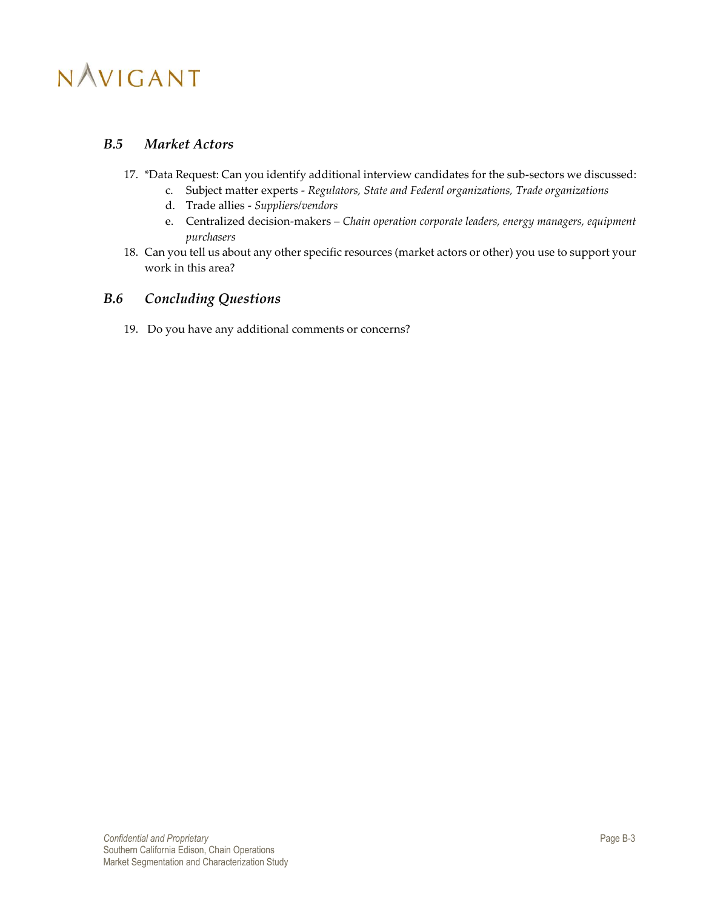### <span id="page-35-0"></span>*B.5 Market Actors*

- 17. \*Data Request: Can you identify additional interview candidates for the sub-sectors we discussed:
	- c. Subject matter experts *Regulators, State and Federal organizations, Trade organizations*
	- d. Trade allies *Suppliers/vendors*
	- e. Centralized decision-makers *Chain operation corporate leaders, energy managers, equipment purchasers*
- 18. Can you tell us about any other specific resources (market actors or other) you use to support your work in this area?

### <span id="page-35-1"></span>*B.6 Concluding Questions*

19. Do you have any additional comments or concerns?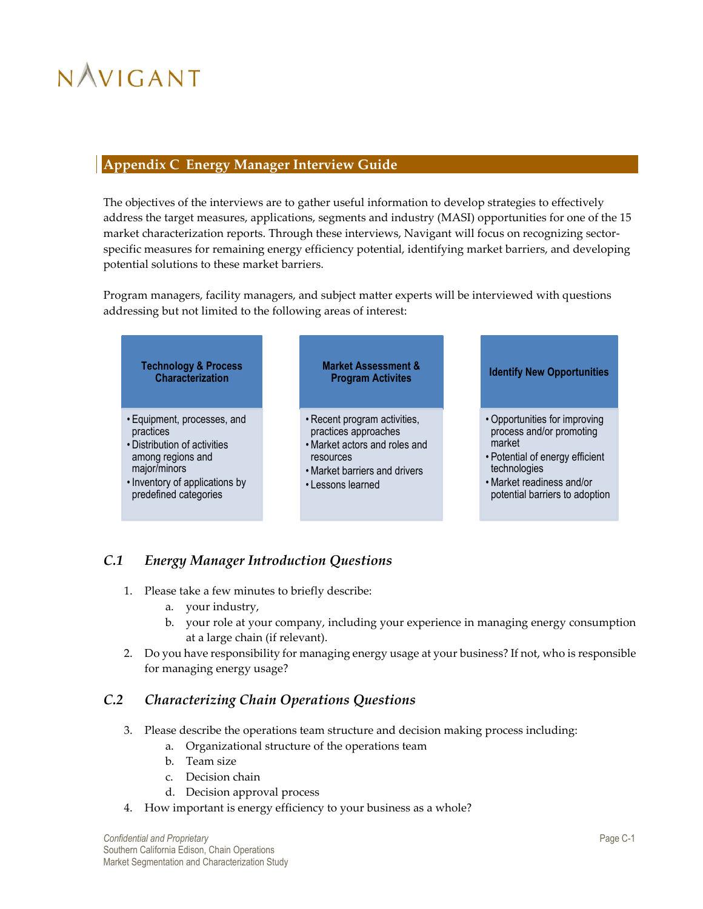### <span id="page-36-0"></span>**Appendix C Energy Manager Interview Guide**

The objectives of the interviews are to gather useful information to develop strategies to effectively address the target measures, applications, segments and industry (MASI) opportunities for one of the 15 market characterization reports. Through these interviews, Navigant will focus on recognizing sectorspecific measures for remaining energy efficiency potential, identifying market barriers, and developing potential solutions to these market barriers.

Program managers, facility managers, and subject matter experts will be interviewed with questions addressing but not limited to the following areas of interest:



## <span id="page-36-1"></span>*C.1 Energy Manager Introduction Questions*

- 1. Please take a few minutes to briefly describe:
	- a. your industry,
	- b. your role at your company, including your experience in managing energy consumption at a large chain (if relevant).
- 2. Do you have responsibility for managing energy usage at your business? If not, who is responsible for managing energy usage?

## <span id="page-36-2"></span>*C.2 Characterizing Chain Operations Questions*

- 3. Please describe the operations team structure and decision making process including:
	- a. Organizational structure of the operations team
	- b. Team size
	- c. Decision chain
	- d. Decision approval process
- 4. How important is energy efficiency to your business as a whole?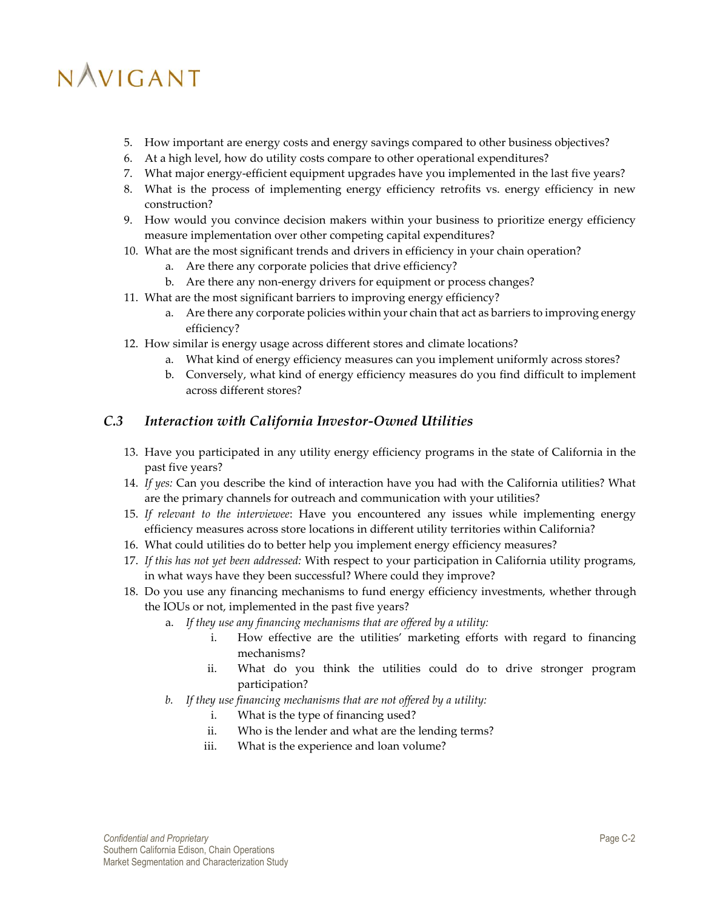- 5. How important are energy costs and energy savings compared to other business objectives?
- 6. At a high level, how do utility costs compare to other operational expenditures?
- 7. What major energy-efficient equipment upgrades have you implemented in the last five years?
- 8. What is the process of implementing energy efficiency retrofits vs. energy efficiency in new construction?
- 9. How would you convince decision makers within your business to prioritize energy efficiency measure implementation over other competing capital expenditures?
- 10. What are the most significant trends and drivers in efficiency in your chain operation?
	- a. Are there any corporate policies that drive efficiency?
	- b. Are there any non-energy drivers for equipment or process changes?
- 11. What are the most significant barriers to improving energy efficiency?
	- a. Are there any corporate policies within your chain that act as barriers to improving energy efficiency?
- 12. How similar is energy usage across different stores and climate locations?
	- a. What kind of energy efficiency measures can you implement uniformly across stores?
	- b. Conversely, what kind of energy efficiency measures do you find difficult to implement across different stores?

### <span id="page-37-0"></span>*C.3 Interaction with California Investor-Owned Utilities*

- 13. Have you participated in any utility energy efficiency programs in the state of California in the past five years?
- 14. *If yes:* Can you describe the kind of interaction have you had with the California utilities? What are the primary channels for outreach and communication with your utilities?
- 15. *If relevant to the interviewee*: Have you encountered any issues while implementing energy efficiency measures across store locations in different utility territories within California?
- 16. What could utilities do to better help you implement energy efficiency measures?
- 17. *If this has not yet been addressed:* With respect to your participation in California utility programs, in what ways have they been successful? Where could they improve?
- 18. Do you use any financing mechanisms to fund energy efficiency investments, whether through the IOUs or not, implemented in the past five years?
	- a. *If they use any financing mechanisms that are offered by a utility:*
		- i. How effective are the utilities' marketing efforts with regard to financing mechanisms?
		- ii. What do you think the utilities could do to drive stronger program participation?
	- *b. If they use financing mechanisms that are not offered by a utility:*
		- i. What is the type of financing used?
		- ii. Who is the lender and what are the lending terms?
		- iii. What is the experience and loan volume?